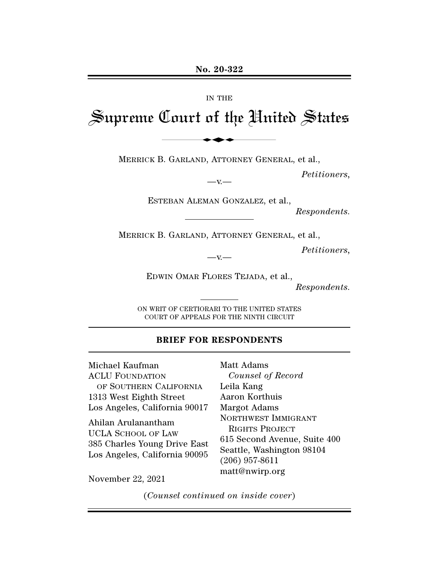#### IN THE

# Supreme Court of the United States No. 20-322<br>IN THE<br>Lourt of the Uni

MERRICK B. GARLAND, ATTORNEY GENERAL, et al.,

*Petitioners,* 

ESTEBAN ALEMAN GONZALEZ, et al.,

 $-v -$ 

*Respondents.* 

MERRICK B. GARLAND, ATTORNEY GENERAL, et al.,

*Petitioners,* 

 $-v -$ 

EDWIN OMAR FLORES TEJADA, et al.,

*Respondents.*

ON WRIT OF CERTIORARI TO THE UNITED STATES COURT OF APPEALS FOR THE NINTH CIRCUIT

#### **BRIEF FOR RESPONDENTS**

Michael Kaufman ACLU FOUNDATION OF SOUTHERN CALIFORNIA 1313 West Eighth Street Los Angeles, California 90017 Ahilan Arulanantham UCLA SCHOOL OF LAW 385 Charles Young Drive East Los Angeles, California 90095 Matt Adams matt@nwirp.org November 22, 2021

*Counsel of Record*  Leila Kang Aaron Korthuis Margot Adams NORTHWEST IMMIGRANT RIGHTS PROJECT 615 Second Avenue, Suite 400 Seattle, Washington 98104 (206) 957-8611

(*Counsel continued on inside cover*)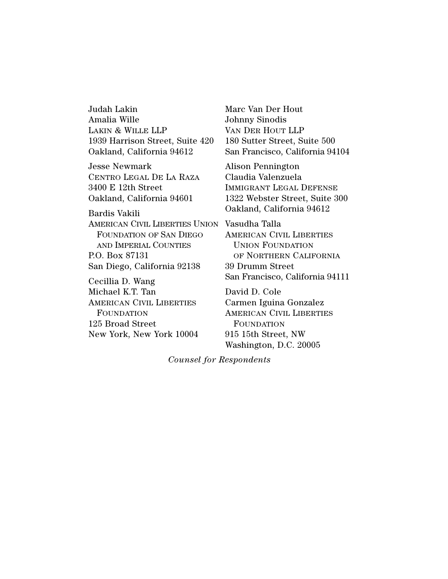Judah Lakin Amalia Wille LAKIN & WILLE LLP 1939 Harrison Street, Suite 420 Oakland, California 94612

Jesse Newmark CENTRO LEGAL DE LA RAZA 3400 E 12th Street Oakland, California 94601

AMERICAN CIVIL LIBERTIES UNION Vasudha Talla Bardis Vakili FOUNDATION OF SAN DIEGO AND IMPERIAL COUNTIES P.O. Box 87131 San Diego, California 92138

Cecillia D. Wang Michael K.T. Tan AMERICAN CIVIL LIBERTIES FOUNDATION 125 Broad Street New York, New York 10004 Marc Van Der Hout Johnny Sinodis VAN DER HOUT LLP 180 Sutter Street, Suite 500 San Francisco, California 94104

Alison Pennington Claudia Valenzuela IMMIGRANT LEGAL DEFENSE 1322 Webster Street, Suite 300 Oakland, California 94612

AMERICAN CIVIL LIBERTIES UNION FOUNDATION OF NORTHERN CALIFORNIA 39 Drumm Street San Francisco, California 94111

David D. Cole Carmen Iguina Gonzalez AMERICAN CIVIL LIBERTIES FOUNDATION 915 15th Street, NW Washington, D.C. 20005

*Counsel for Respondents*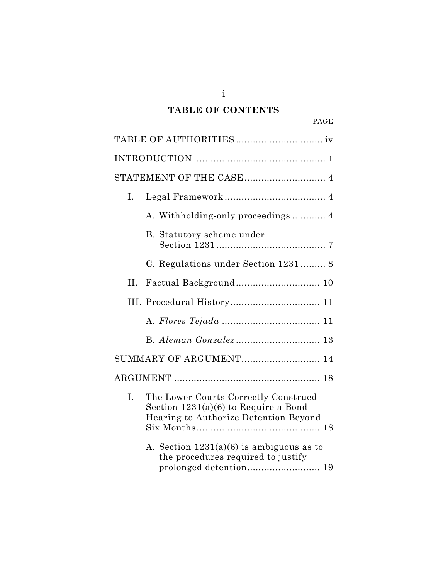# **TABLE OF CONTENTS**

| ı<br>T<br>. |
|-------------|
|-------------|

| STATEMENT OF THE CASE 4 |                                                                                                                         |  |
|-------------------------|-------------------------------------------------------------------------------------------------------------------------|--|
| L.                      |                                                                                                                         |  |
|                         | A. Withholding-only proceedings 4                                                                                       |  |
|                         | B. Statutory scheme under                                                                                               |  |
|                         | C. Regulations under Section 1231 8                                                                                     |  |
| II.                     |                                                                                                                         |  |
|                         | III. Procedural History 11                                                                                              |  |
|                         |                                                                                                                         |  |
|                         |                                                                                                                         |  |
|                         | SUMMARY OF ARGUMENT 14                                                                                                  |  |
|                         |                                                                                                                         |  |
| I.                      | The Lower Courts Correctly Construed<br>Section $1231(a)(6)$ to Require a Bond<br>Hearing to Authorize Detention Beyond |  |
|                         | A. Section $1231(a)(6)$ is ambiguous as to<br>the procedures required to justify<br>prolonged detention 19              |  |

i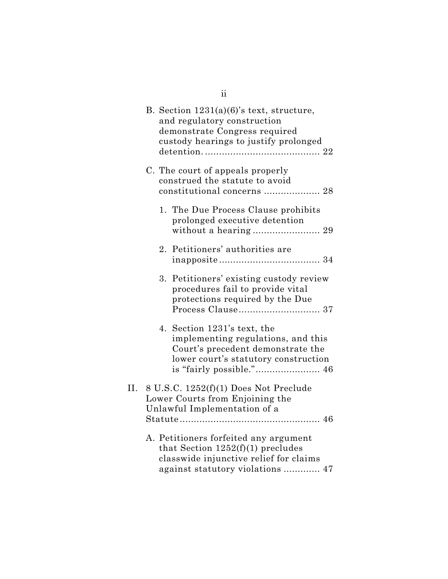|     |    | B. Section $1231(a)(6)$ 's text, structure,<br>and regulatory construction<br>demonstrate Congress required<br>custody hearings to justify prolonged       |
|-----|----|------------------------------------------------------------------------------------------------------------------------------------------------------------|
|     |    | C. The court of appeals properly<br>construed the statute to avoid<br>constitutional concerns  28                                                          |
|     |    | 1. The Due Process Clause prohibits<br>prolonged executive detention                                                                                       |
|     | 2. | Petitioners' authorities are                                                                                                                               |
|     | 3. | Petitioners' existing custody review<br>procedures fail to provide vital<br>protections required by the Due                                                |
|     |    | 4. Section 1231's text, the<br>implementing regulations, and this<br>Court's precedent demonstrate the<br>lower court's statutory construction             |
| II. |    | 8 U.S.C. 1252(f)(1) Does Not Preclude<br>Lower Courts from Enjoining the<br>Unlawful Implementation of a                                                   |
|     |    | A. Petitioners forfeited any argument<br>that Section $1252(f)(1)$ precludes<br>classwide injunctive relief for claims<br>against statutory violations  47 |

ii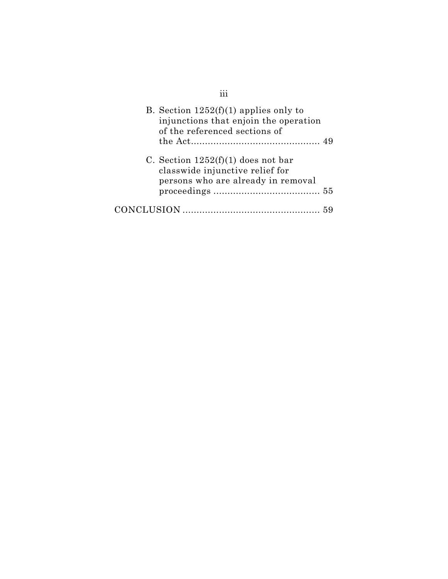| B. Section $1252(f)(1)$ applies only to<br>injunctions that enjoin the operation<br>of the referenced sections of |  |
|-------------------------------------------------------------------------------------------------------------------|--|
| C. Section $1252(f)(1)$ does not bar<br>classwide injunctive relief for<br>persons who are already in removal     |  |
|                                                                                                                   |  |

iii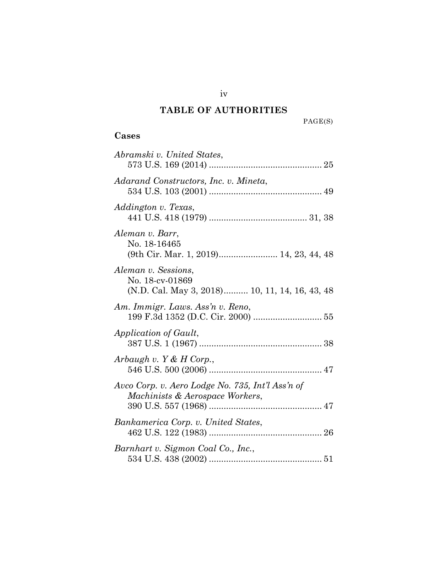# **TABLE OF AUTHORITIES**

PAGE(S)

# **Cases**

| Abramski v. United States,                                                               |
|------------------------------------------------------------------------------------------|
| Adarand Constructors, Inc. v. Mineta,                                                    |
| Addington v. Texas,                                                                      |
| Aleman v. Barr,<br>No. 18-16465                                                          |
| Aleman v. Sessions,<br>No. 18-cv-01869<br>(N.D. Cal. May 3, 2018) 10, 11, 14, 16, 43, 48 |
| Am. Immigr. Laws. Ass'n v. Reno,                                                         |
| Application of Gault,                                                                    |
| Arbaugh v. Y & H Corp.,                                                                  |
| Avco Corp. v. Aero Lodge No. 735, Int'l Ass'n of<br>Machinists & Aerospace Workers,      |
| Bankamerica Corp. v. United States,                                                      |
| Barnhart v. Sigmon Coal Co., Inc.,                                                       |

iv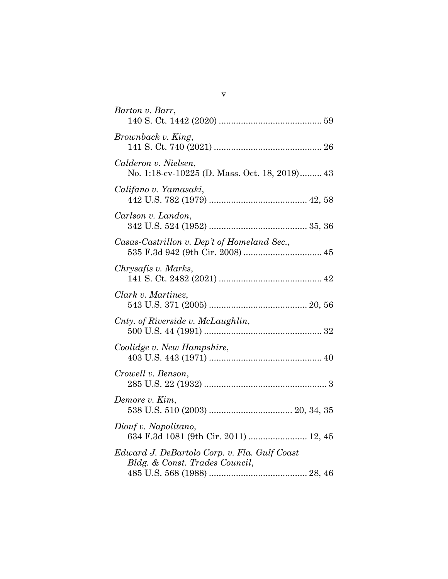| Barton v. Barr,                                                                |
|--------------------------------------------------------------------------------|
| Brownback v. King,                                                             |
| Calderon v. Nielsen,<br>No. 1:18-cv-10225 (D. Mass. Oct. 18, 2019) 43          |
| Califano v. Yamasaki,                                                          |
| Carlson v. Landon,                                                             |
| Casas-Castrillon v. Dep't of Homeland Sec.,                                    |
| Chrysafis v. Marks,                                                            |
| Clark v. Martinez,                                                             |
| Cnty. of Riverside v. McLaughlin,                                              |
| Coolidge v. New Hampshire,                                                     |
| Crowell v. Benson,                                                             |
| Demore v. Kim,                                                                 |
| Diouf v. Napolitano,<br>634 F.3d 1081 (9th Cir. 2011)  12, 45                  |
| Edward J. DeBartolo Corp. v. Fla. Gulf Coast<br>Bldg. & Const. Trades Council, |

v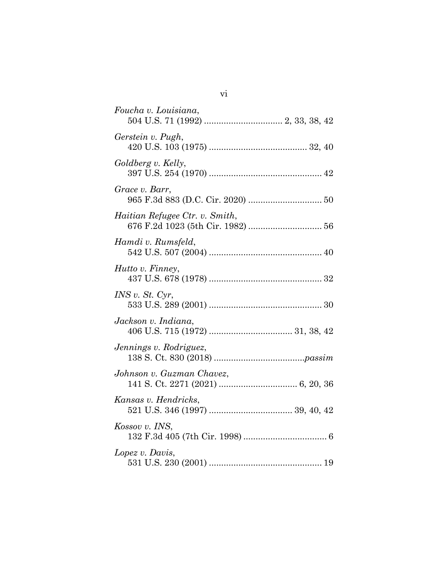| Foucha v. Louisiana,                                                |
|---------------------------------------------------------------------|
| Gerstein v. Pugh,                                                   |
| Goldberg v. Kelly,                                                  |
| Grace v. Barr,                                                      |
| Haitian Refugee Ctr. v. Smith,<br>676 F.2d 1023 (5th Cir. 1982)  56 |
| Hamdi v. Rumsfeld,                                                  |
| Hutto v. Finney,                                                    |
| INS v. St. Cyr,                                                     |
| Jackson v. Indiana,                                                 |
| Jennings v. Rodriguez,                                              |
| Johnson v. Guzman Chavez,                                           |
| Kansas v. Hendricks,                                                |
| Kossov v. INS,                                                      |
| Lopez v. Davis,                                                     |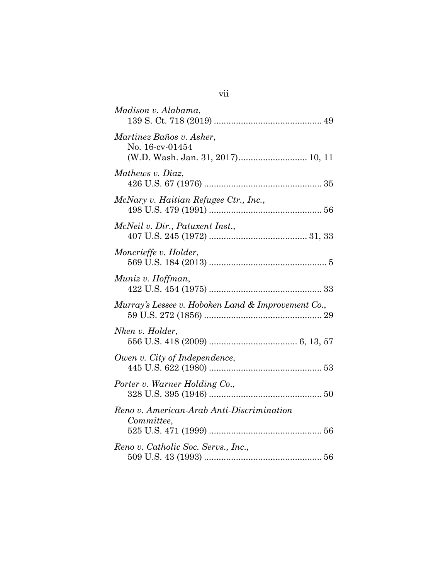| Madison v. Alabama,                                                              |
|----------------------------------------------------------------------------------|
| Martinez Baños v. Asher,<br>No. 16-cv-01454<br>(W.D. Wash. Jan. 31, 2017) 10, 11 |
| Mathews v. Diaz,                                                                 |
| McNary v. Haitian Refugee Ctr., Inc.,                                            |
| McNeil v. Dir., Patuxent Inst.,                                                  |
| Moncrieffe v. Holder,                                                            |
| Muniz v. Hoffman,                                                                |
| Murray's Lessee v. Hoboken Land & Improvement Co.,                               |
| Nken v. Holder,                                                                  |
| Owen v. City of Independence,                                                    |
| Porter v. Warner Holding Co.,                                                    |
| Reno v. American-Arab Anti-Discrimination<br>Committee,                          |
|                                                                                  |
| Reno v. Catholic Soc. Servs., Inc.,                                              |

vii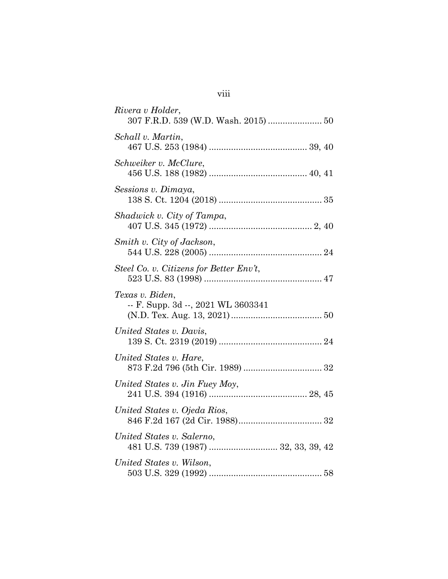| Rivera v Holder,                                         |
|----------------------------------------------------------|
| Schall v. Martin,                                        |
| Schweiker v. McClure,                                    |
| Sessions v. Dimaya,                                      |
| Shadwick v. City of Tampa,                               |
| Smith v. City of Jackson,                                |
| Steel Co. v. Citizens for Better Env't,                  |
| Texas v. Biden,<br>$-$ F. Supp. 3d $-$ , 2021 WL 3603341 |
| United States v. Davis,                                  |
| United States v. Hare,                                   |
| United States v. Jin Fuey Moy,                           |
| United States v. Ojeda Rios,                             |
| United States v. Salerno,                                |
| United States v. Wilson,                                 |

# viii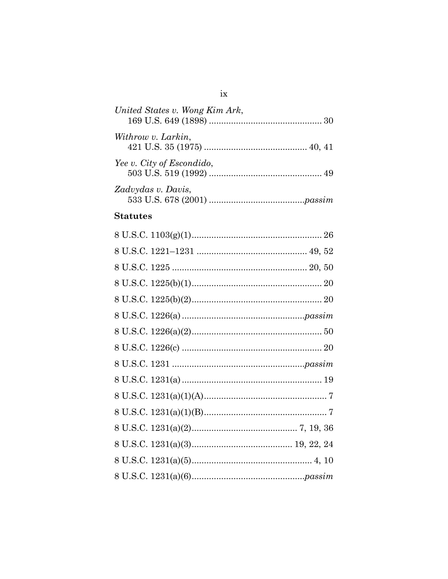| United States v. Wong Kim Ark, |  |
|--------------------------------|--|
| Withrow v. Larkin,             |  |
| Yee v. City of Escondido,      |  |
| Zadvydas v. Davis,             |  |
|                                |  |

#### **Statutes**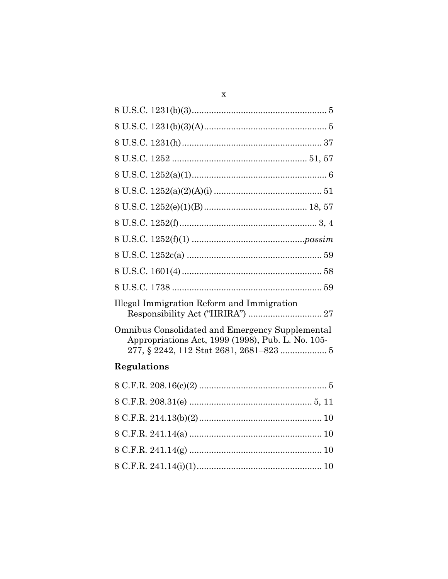| Illegal Immigration Reform and Immigration                                                           |
|------------------------------------------------------------------------------------------------------|
| Omnibus Consolidated and Emergency Supplemental<br>Appropriations Act, 1999 (1998), Pub. L. No. 105- |

# Regulations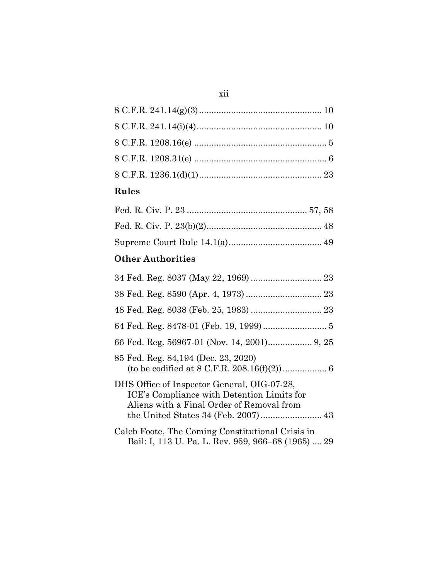## xii

# **Rules**

# **Other Authorities**

| 85 Fed. Reg. 84,194 (Dec. 23, 2020)                                                                                                    |  |  |  |  |
|----------------------------------------------------------------------------------------------------------------------------------------|--|--|--|--|
| DHS Office of Inspector General, OIG-07-28,<br>ICE's Compliance with Detention Limits for<br>Aliens with a Final Order of Removal from |  |  |  |  |
| Caleb Foote, The Coming Constitutional Crisis in<br>Bail: I, 113 U. Pa. L. Rev. 959, 966–68 (1965)  29                                 |  |  |  |  |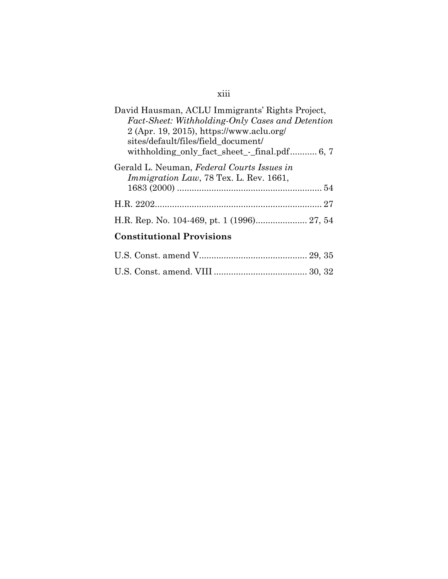# xiii

| David Hausman, ACLU Immigrants' Rights Project,<br>Fact-Sheet: Withholding-Only Cases and Detention<br>2 (Apr. 19, 2015), https://www.aclu.org/<br>sites/default/files/field_document/<br>withholding_only_fact_sheet_-_final.pdf 6, 7 |
|----------------------------------------------------------------------------------------------------------------------------------------------------------------------------------------------------------------------------------------|
| Gerald L. Neuman, Federal Courts Issues in<br>Immigration Law, 78 Tex. L. Rev. 1661,                                                                                                                                                   |
|                                                                                                                                                                                                                                        |
|                                                                                                                                                                                                                                        |
| $C_{\text{2}}$ of $1.4$ $1.4$ $1.4$ $1.4$ $1.4$ $1.4$ $1.4$ $1.4$ $1.4$ $1.4$ $1.4$ $1.4$ $1.4$ $1.4$ $1.4$ $1.4$ $1.4$ $1.4$ $1.4$ $1.4$ $1.4$ $1.4$ $1.4$ $1.4$ $1.4$ $1.4$ $1.4$ $1.4$ $1.4$ $1.4$ $1.4$ $1.4$ $1.4$ $1.4$ $1.4$    |

#### **Constitutional Provisions**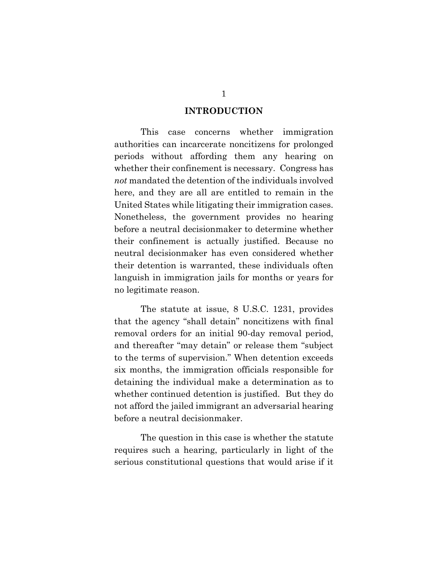#### **INTRODUCTION**

This case concerns whether immigration authorities can incarcerate noncitizens for prolonged periods without affording them any hearing on whether their confinement is necessary. Congress has *not* mandated the detention of the individuals involved here, and they are all are entitled to remain in the United States while litigating their immigration cases. Nonetheless, the government provides no hearing before a neutral decisionmaker to determine whether their confinement is actually justified. Because no neutral decisionmaker has even considered whether their detention is warranted, these individuals often languish in immigration jails for months or years for no legitimate reason.

<span id="page-15-0"></span>The statute at issue, 8 U.S.C. 1231, provides that the agency "shall detain" noncitizens with final removal orders for an initial 90-day removal period, and thereafter "may detain" or release them "subject to the terms of supervision." When detention exceeds six months, the immigration officials responsible for detaining the individual make a determination as to whether continued detention is justified. But they do not afford the jailed immigrant an adversarial hearing before a neutral decisionmaker.

The question in this case is whether the statute requires such a hearing, particularly in light of the serious constitutional questions that would arise if it

1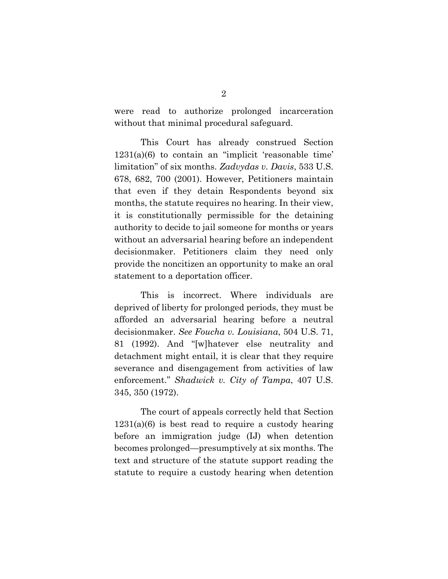were read to authorize prolonged incarceration without that minimal procedural safeguard.

<span id="page-16-3"></span><span id="page-16-2"></span>This Court has already construed Section  $1231(a)(6)$  to contain an "implicit 'reasonable time' limitation" of six months. *Zadvydas v. Davis*, 533 U.S. 678, 682, 700 (2001). However, Petitioners maintain that even if they detain Respondents beyond six months, the statute requires no hearing. In their view, it is constitutionally permissible for the detaining authority to decide to jail someone for months or years without an adversarial hearing before an independent decisionmaker. Petitioners claim they need only provide the noncitizen an opportunity to make an oral statement to a deportation officer.

<span id="page-16-0"></span>This is incorrect. Where individuals are deprived of liberty for prolonged periods, they must be afforded an adversarial hearing before a neutral decisionmaker. *See Foucha v. Louisiana*, 504 U.S. 71, 81 (1992). And "[w]hatever else neutrality and detachment might entail, it is clear that they require severance and disengagement from activities of law enforcement." *Shadwick v. City of Tampa*, 407 U.S. 345, 350 (1972).

<span id="page-16-1"></span>The court of appeals correctly held that Section  $1231(a)(6)$  is best read to require a custody hearing before an immigration judge (IJ) when detention becomes prolonged—presumptively at six months. The text and structure of the statute support reading the statute to require a custody hearing when detention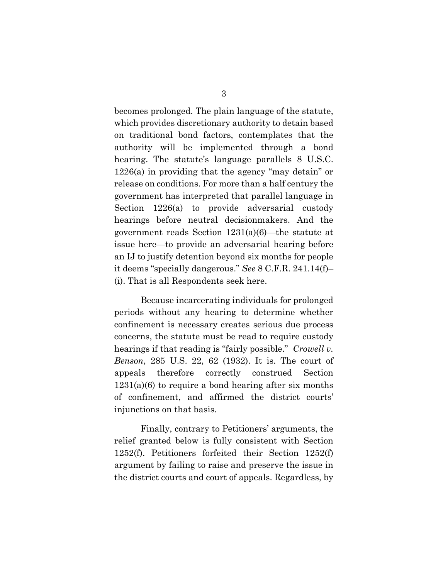<span id="page-17-1"></span>becomes prolonged. The plain language of the statute, which provides discretionary authority to detain based on traditional bond factors, contemplates that the authority will be implemented through a bond hearing. The statute's language parallels 8 U.S.C. 1226(a) in providing that the agency "may detain" or release on conditions. For more than a half century the government has interpreted that parallel language in Section 1226(a) to provide adversarial custody hearings before neutral decisionmakers. And the government reads Section 1231(a)(6)—the statute at issue here—to provide an adversarial hearing before an IJ to justify detention beyond six months for people it deems "specially dangerous." *See* 8 C.F.R. 241.14(f)– (i). That is all Respondents seek here.

<span id="page-17-3"></span><span id="page-17-0"></span>Because incarcerating individuals for prolonged periods without any hearing to determine whether confinement is necessary creates serious due process concerns, the statute must be read to require custody hearings if that reading is "fairly possible." *Crowell v. Benson*, 285 U.S. 22, 62 (1932). It is. The court of appeals therefore correctly construed Section  $1231(a)(6)$  to require a bond hearing after six months of confinement, and affirmed the district courts' injunctions on that basis.

<span id="page-17-2"></span>Finally, contrary to Petitioners' arguments, the relief granted below is fully consistent with Section 1252(f). Petitioners forfeited their Section 1252(f) argument by failing to raise and preserve the issue in the district courts and court of appeals. Regardless, by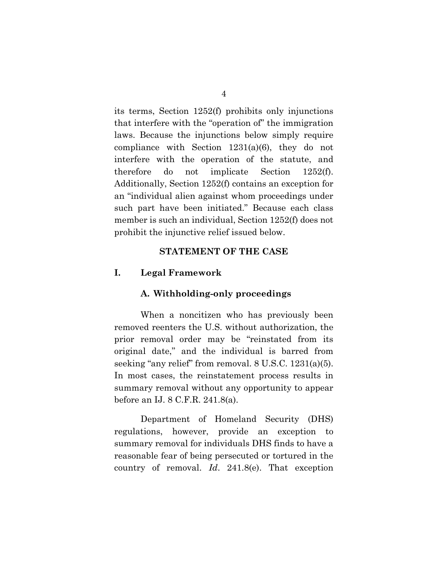<span id="page-18-1"></span>its terms, Section 1252(f) prohibits only injunctions that interfere with the "operation of" the immigration laws. Because the injunctions below simply require compliance with Section 1231(a)(6), they do not interfere with the operation of the statute, and therefore do not implicate Section 1252(f). Additionally, Section 1252(f) contains an exception for an "individual alien against whom proceedings under such part have been initiated." Because each class member is such an individual, Section 1252(f) does not prohibit the injunctive relief issued below.

#### **STATEMENT OF THE CASE**

#### **I. Legal Framework**

#### <span id="page-18-0"></span>**A. Withholding-only proceedings**

When a noncitizen who has previously been removed reenters the U.S. without authorization, the prior removal order may be "reinstated from its original date," and the individual is barred from seeking "any relief" from removal. 8 U.S.C. 1231(a)(5). In most cases, the reinstatement process results in summary removal without any opportunity to appear before an IJ. 8 C.F.R. 241.8(a).

<span id="page-18-3"></span><span id="page-18-2"></span>Department of Homeland Security (DHS) regulations, however, provide an exception to summary removal for individuals DHS finds to have a reasonable fear of being persecuted or tortured in the country of removal. *Id*. 241.8(e). That exception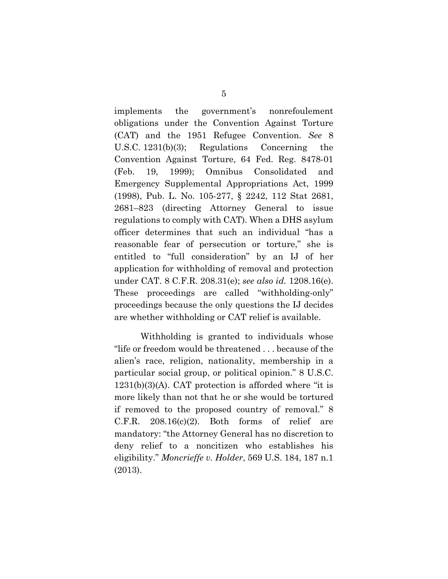<span id="page-19-6"></span><span id="page-19-3"></span><span id="page-19-1"></span>implements the government's nonrefoulement obligations under the Convention Against Torture (CAT) and the 1951 Refugee Convention. *See* 8 U.S.C. 1231(b)(3); Regulations Concerning the Convention Against Torture, 64 Fed. Reg. 8478-01 (Feb. 19, 1999); Omnibus Consolidated and Emergency Supplemental Appropriations Act, 1999 (1998), Pub. L. No. 105-277, § 2242, 112 Stat 2681, 2681–823 (directing Attorney General to issue regulations to comply with CAT). When a DHS asylum officer determines that such an individual "has a reasonable fear of persecution or torture," she is entitled to "full consideration" by an IJ of her application for withholding of removal and protection under CAT. 8 C.F.R. 208.31(e); *see also id.* 1208.16(e). These proceedings are called "withholding-only" proceedings because the only questions the IJ decides are whether withholding or CAT relief is available.

<span id="page-19-5"></span><span id="page-19-4"></span><span id="page-19-2"></span><span id="page-19-0"></span>Withholding is granted to individuals whose "life or freedom would be threatened . . . because of the alien's race, religion, nationality, membership in a particular social group, or political opinion." 8 U.S.C.  $1231(b)(3)(A)$ . CAT protection is afforded where "it is more likely than not that he or she would be tortured if removed to the proposed country of removal." 8  $C.F.R.$  208.16(c)(2). Both forms of relief are mandatory: "the Attorney General has no discretion to deny relief to a noncitizen who establishes his eligibility." *Moncrieffe v. Holder*, 569 U.S. 184, 187 n.1 (2013).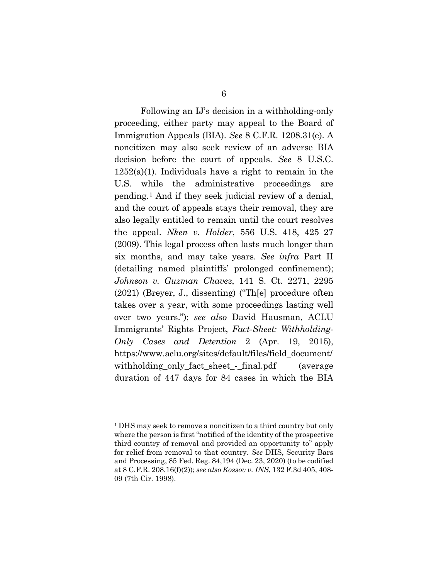<span id="page-20-4"></span><span id="page-20-3"></span><span id="page-20-2"></span>Following an IJ's decision in a withholding-only proceeding, either party may appeal to the Board of Immigration Appeals (BIA). *See* 8 C.F.R. 1208.31(e). A noncitizen may also seek review of an adverse BIA decision before the court of appeals. *See* 8 U.S.C. 1252(a)(1). Individuals have a right to remain in the U.S. while the administrative proceedings are pending.[1](#page-20-7) And if they seek judicial review of a denial, and the court of appeals stays their removal, they are also legally entitled to remain until the court resolves the appeal. *Nken v. Holder*, 556 U.S. 418, 425–27 (2009). This legal process often lasts much longer than six months, and may take years. *See infra* Part II (detailing named plaintiffs' prolonged confinement); *Johnson v. Guzman Chavez*, 141 S. Ct. 2271, 2295 (2021) (Breyer, J., dissenting) ("Th[e] procedure often takes over a year, with some proceedings lasting well over two years."); *see also* David Hausman, ACLU Immigrants' Rights Project, *Fact-Sheet: Withholding-Only Cases and Detention* 2 (Apr. 19, 2015), https://www.aclu.org/sites/default/files/field\_document/ withholding\_only\_fact\_sheet\_-\_final.pdf (average duration of 447 days for 84 cases in which the BIA

<span id="page-20-7"></span><span id="page-20-6"></span><span id="page-20-5"></span><span id="page-20-1"></span><span id="page-20-0"></span><sup>1</sup> DHS may seek to remove a noncitizen to a third country but only where the person is first "notified of the identity of the prospective third country of removal and provided an opportunity to" apply for relief from removal to that country. *See* DHS, Security Bars and Processing, 85 Fed. Reg. 84,194 (Dec. 23, 2020) (to be codified at 8 C.F.R. 208.16(f)(2)); *see also Kossov v. INS*, 132 F.3d 405, 408- 09 (7th Cir. 1998).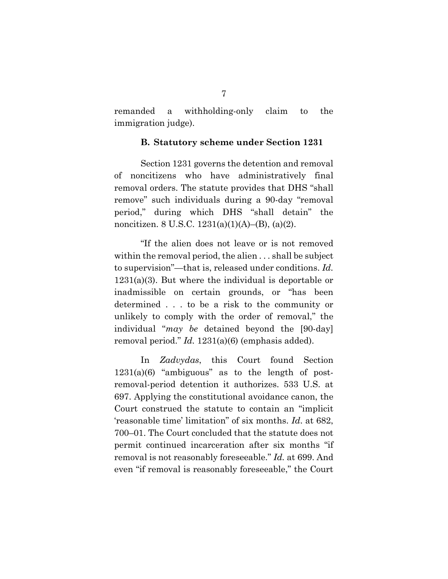remanded a withholding-only claim to the immigration judge).

#### **B. Statutory scheme under Section 1231**

Section 1231 governs the detention and removal of noncitizens who have administratively final removal orders. The statute provides that DHS "shall remove" such individuals during a 90-day "removal period," during which DHS "shall detain" the noncitizen. 8 U.S.C. 1231(a)(1)(A)–(B), (a)(2).

<span id="page-21-1"></span><span id="page-21-0"></span>"If the alien does not leave or is not removed within the removal period, the alien . . . shall be subject to supervision"—that is, released under conditions. *Id.* 1231(a)(3). But where the individual is deportable or inadmissible on certain grounds, or "has been determined . . . to be a risk to the community or unlikely to comply with the order of removal," the individual "*may be* detained beyond the [90-day] removal period." *Id.* 1231(a)(6) (emphasis added).

In *Zadvydas*, this Court found Section  $1231(a)(6)$  "ambiguous" as to the length of postremoval-period detention it authorizes. 533 U.S. at 697. Applying the constitutional avoidance canon, the Court construed the statute to contain an "implicit 'reasonable time' limitation" of six months. *Id*. at 682, 700–01. The Court concluded that the statute does not permit continued incarceration after six months "if removal is not reasonably foreseeable." *Id.* at 699. And even "if removal is reasonably foreseeable," the Court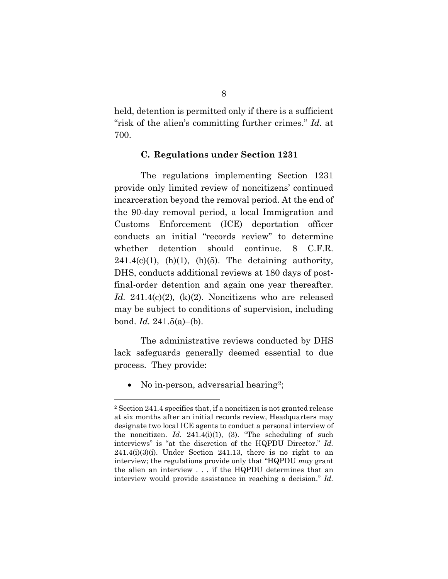held, detention is permitted only if there is a sufficient "risk of the alien's committing further crimes." *Id.* at 700.

#### <span id="page-22-3"></span>**C. Regulations under Section 1231**

The regulations implementing Section 1231 provide only limited review of noncitizens' continued incarceration beyond the removal period. At the end of the 90-day removal period, a local Immigration and Customs Enforcement (ICE) deportation officer conducts an initial "records review" to determine whether detention should continue. 8 C.F.R.  $241.4(c)(1)$ , (h)(1), (h)(5). The detaining authority, DHS, conducts additional reviews at 180 days of postfinal-order detention and again one year thereafter. *Id.* 241.4(c)(2)*,* (k)(2). Noncitizens who are released may be subject to conditions of supervision, including bond. *Id.* 241.5(a)–(b).

<span id="page-22-5"></span><span id="page-22-4"></span>The administrative reviews conducted by DHS lack safeguards generally deemed essential to due process. They provide:

<span id="page-22-2"></span>• No in-person, adversarial hearing<sup>[2](#page-22-7)</sup>;

<span id="page-22-7"></span><span id="page-22-6"></span><span id="page-22-1"></span><span id="page-22-0"></span><sup>2</sup> Section 241.4 specifies that, if a noncitizen is not granted release at six months after an initial records review, Headquarters may designate two local ICE agents to conduct a personal interview of the noncitizen. *Id*. 241.4(i)(1), (3). "The scheduling of such interviews" is "at the discretion of the HQPDU Director." *Id.*   $241.4(i)(3)(i)$ . Under Section 241.13, there is no right to an interview; the regulations provide only that "HQPDU *may* grant the alien an interview . . . if the HQPDU determines that an interview would provide assistance in reaching a decision." *Id.*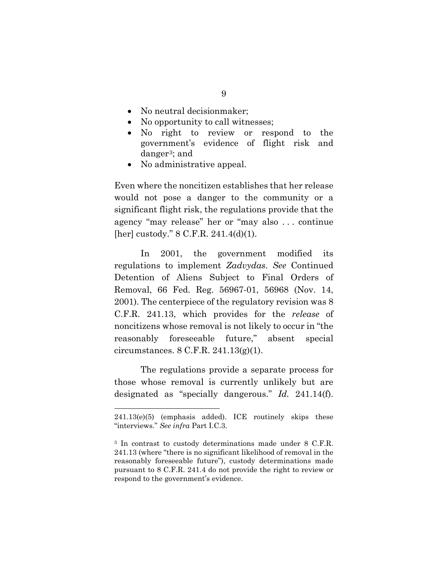- No neutral decision maker;
- No opportunity to call witnesses;
- No right to review or respond to the government's evidence of flight risk and danger[3;](#page-23-5) and
- No administrative appeal.

Even where the noncitizen establishes that her release would not pose a danger to the community or a significant flight risk, the regulations provide that the agency "may release" her or "may also . . . continue [her] custody." 8 C.F.R. 241.4(d)(1).

<span id="page-23-4"></span><span id="page-23-1"></span>In 2001, the government modified its regulations to implement *Zadvydas*. *See* Continued Detention of Aliens Subject to Final Orders of Removal, 66 Fed. Reg. 56967-01, 56968 (Nov. 14, 2001). The centerpiece of the regulatory revision was 8 C.F.R. 241.13, which provides for the *release* of noncitizens whose removal is not likely to occur in "the reasonably foreseeable future," absent special circumstances. 8 C.F.R. 241.13(g)(1).

<span id="page-23-3"></span>The regulations provide a separate process for those whose removal is currently unlikely but are designated as "specially dangerous." *Id.* 241.14(f).

<sup>241.13(</sup>e)(5) (emphasis added). ICE routinely skips these "interviews." *See infra* Part I.C.3.

<span id="page-23-5"></span><span id="page-23-2"></span><span id="page-23-0"></span><sup>3</sup> In contrast to custody determinations made under 8 C.F.R. 241.13 (where "there is no significant likelihood of removal in the reasonably foreseeable future"), custody determinations made pursuant to 8 C.F.R. 241.4 do not provide the right to review or respond to the government's evidence.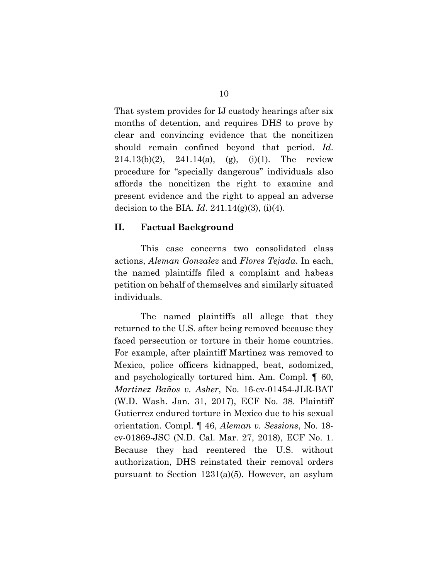<span id="page-24-2"></span>That system provides for IJ custody hearings after six months of detention, and requires DHS to prove by clear and convincing evidence that the noncitizen should remain confined beyond that period. *Id*.  $214.13(b)(2)$ ,  $241.14(a)$ , (g), (i)(1). The review procedure for "specially dangerous" individuals also affords the noncitizen the right to examine and present evidence and the right to appeal an adverse decision to the BIA. *Id*. 241.14(g)(3), (i)(4).

#### <span id="page-24-3"></span>**II. Factual Background**

This case concerns two consolidated class actions, *Aleman Gonzalez* and *Flores Tejada*. In each, the named plaintiffs filed a complaint and habeas petition on behalf of themselves and similarly situated individuals.

<span id="page-24-1"></span><span id="page-24-0"></span>The named plaintiffs all allege that they returned to the U.S. after being removed because they faced persecution or torture in their home countries. For example, after plaintiff Martinez was removed to Mexico, police officers kidnapped, beat, sodomized, and psychologically tortured him. Am. Compl. ¶ 60, *Martinez Baños v. Asher*, No. 16-cv-01454-JLR-BAT (W.D. Wash. Jan. 31, 2017), ECF No. 38. Plaintiff Gutierrez endured torture in Mexico due to his sexual orientation. Compl. ¶ 46, *Aleman v. Sessions*, No. 18 cv-01869-JSC (N.D. Cal. Mar. 27, 2018), ECF No. 1. Because they had reentered the U.S. without authorization, DHS reinstated their removal orders pursuant to Section 1231(a)(5). However, an asylum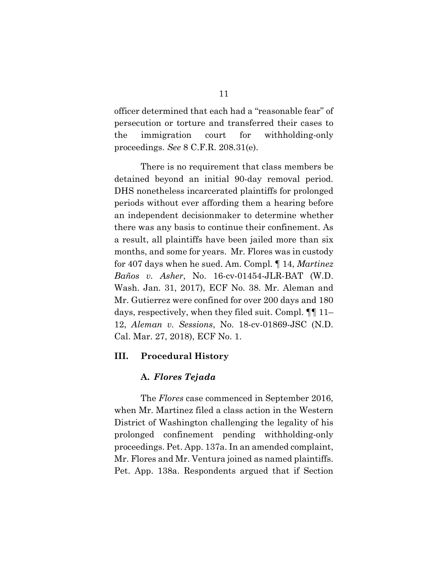officer determined that each had a "reasonable fear" of persecution or torture and transferred their cases to the immigration court for withholding-only proceedings. *See* 8 C.F.R. 208.31(e).

<span id="page-25-1"></span>There is no requirement that class members be detained beyond an initial 90-day removal period. DHS nonetheless incarcerated plaintiffs for prolonged periods without ever affording them a hearing before an independent decisionmaker to determine whether there was any basis to continue their confinement. As a result, all plaintiffs have been jailed more than six months, and some for years. Mr. Flores was in custody for 407 days when he sued. Am. Compl. ¶ 14, *Martinez Baños v. Asher*, No. 16-cv-01454-JLR-BAT (W.D. Wash. Jan. 31, 2017), ECF No. 38. Mr. Aleman and Mr. Gutierrez were confined for over 200 days and 180 days, respectively, when they filed suit. Compl. ¶¶ 11– 12, *Aleman v. Sessions*, No. 18-cv-01869-JSC (N.D. Cal. Mar. 27, 2018), ECF No. 1.

#### **III. Procedural History**

#### <span id="page-25-0"></span>**A.** *Flores Tejada*

The *Flores* case commenced in September 2016, when Mr. Martinez filed a class action in the Western District of Washington challenging the legality of his prolonged confinement pending withholding-only proceedings. Pet. App. 137a. In an amended complaint, Mr. Flores and Mr. Ventura joined as named plaintiffs. Pet. App. 138a. Respondents argued that if Section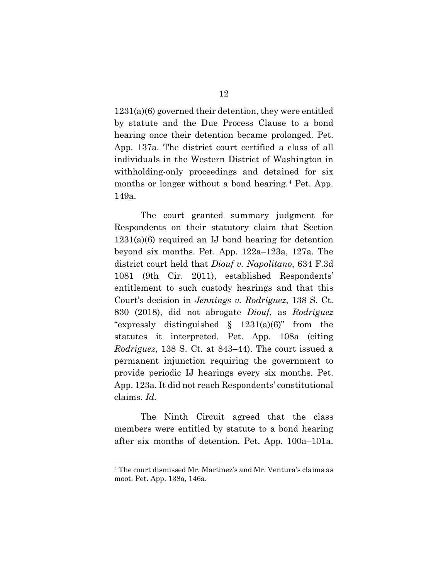1231(a)(6) governed their detention, they were entitled by statute and the Due Process Clause to a bond hearing once their detention became prolonged. Pet. App. 137a. The district court certified a class of all individuals in the Western District of Washington in withholding-only proceedings and detained for six months or longer without a bond hearing.[4](#page-26-2) Pet. App. 149a.

<span id="page-26-1"></span><span id="page-26-0"></span>The court granted summary judgment for Respondents on their statutory claim that Section 1231(a)(6) required an IJ bond hearing for detention beyond six months. Pet. App. 122a–123a, 127a. The district court held that *Diouf v. Napolitano*, 634 F.3d 1081 (9th Cir. 2011), established Respondents' entitlement to such custody hearings and that this Court's decision in *Jennings v. Rodriguez*, 138 S. Ct. 830 (2018), did not abrogate *Diouf*, as *Rodriguez* "expressly distinguished  $\S$  1231(a)(6)" from the statutes it interpreted. Pet. App. 108a (citing *Rodriguez*, 138 S. Ct. at 843–44). The court issued a permanent injunction requiring the government to provide periodic IJ hearings every six months. Pet. App. 123a. It did not reach Respondents' constitutional claims. *Id.*

The Ninth Circuit agreed that the class members were entitled by statute to a bond hearing after six months of detention. Pet. App. 100a–101a.

<span id="page-26-2"></span><sup>4</sup> The court dismissed Mr. Martinez's and Mr. Ventura's claims as moot. Pet. App. 138a, 146a.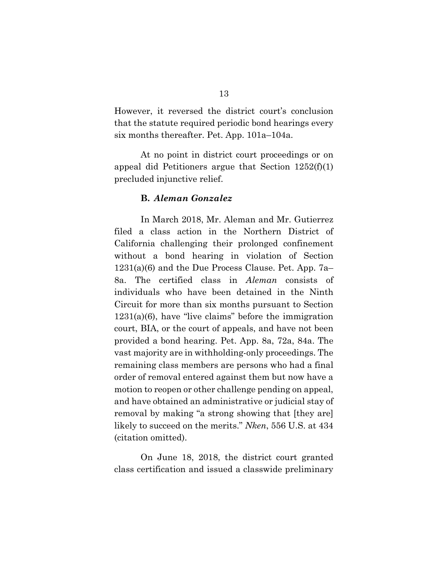However, it reversed the district court's conclusion that the statute required periodic bond hearings every six months thereafter. Pet. App. 101a–104a.

At no point in district court proceedings or on appeal did Petitioners argue that Section 1252(f)(1) precluded injunctive relief.

#### <span id="page-27-1"></span>**B.** *Aleman Gonzalez*

In March 2018, Mr. Aleman and Mr. Gutierrez filed a class action in the Northern District of California challenging their prolonged confinement without a bond hearing in violation of Section 1231(a)(6) and the Due Process Clause. Pet. App. 7a– 8a. The certified class in *Aleman* consists of individuals who have been detained in the Ninth Circuit for more than six months pursuant to Section 1231(a)(6), have "live claims" before the immigration court, BIA, or the court of appeals, and have not been provided a bond hearing. Pet. App. 8a, 72a, 84a. The vast majority are in withholding-only proceedings. The remaining class members are persons who had a final order of removal entered against them but now have a motion to reopen or other challenge pending on appeal, and have obtained an administrative or judicial stay of removal by making "a strong showing that [they are] likely to succeed on the merits." *Nken*, 556 U.S. at 434 (citation omitted).

<span id="page-27-0"></span>On June 18, 2018, the district court granted class certification and issued a classwide preliminary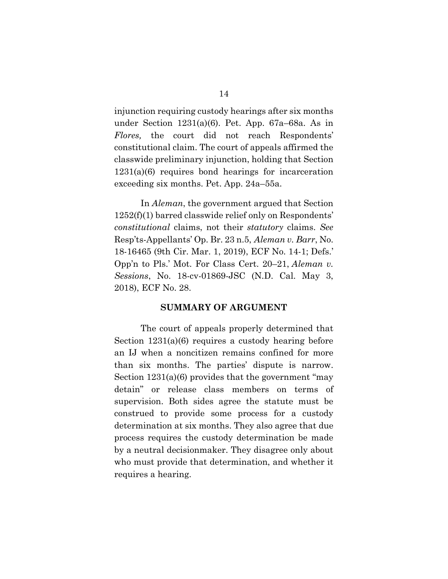injunction requiring custody hearings after six months under Section 1231(a)(6). Pet. App. 67a–68a. As in *Flores,* the court did not reach Respondents' constitutional claim. The court of appeals affirmed the classwide preliminary injunction, holding that Section 1231(a)(6) requires bond hearings for incarceration exceeding six months. Pet. App. 24a–55a.

In *Aleman*, the government argued that Section 1252(f)(1) barred classwide relief only on Respondents' *constitutional* claims, not their *statutory* claims. *See*  Resp'ts-Appellants' Op. Br. 23 n.5, *Aleman v. Barr*, No. 18-16465 (9th Cir. Mar. 1, 2019), ECF No. 14-1; Defs.' Opp'n to Pls.' Mot. For Class Cert. 20–21, *Aleman v. Sessions*, No. 18-cv-01869-JSC (N.D. Cal. May 3, 2018), ECF No. 28.

#### <span id="page-28-1"></span><span id="page-28-0"></span>**SUMMARY OF ARGUMENT**

The court of appeals properly determined that Section 1231(a)(6) requires a custody hearing before an IJ when a noncitizen remains confined for more than six months. The parties' dispute is narrow. Section 1231(a)(6) provides that the government "may detain" or release class members on terms of supervision. Both sides agree the statute must be construed to provide some process for a custody determination at six months. They also agree that due process requires the custody determination be made by a neutral decisionmaker. They disagree only about who must provide that determination, and whether it requires a hearing.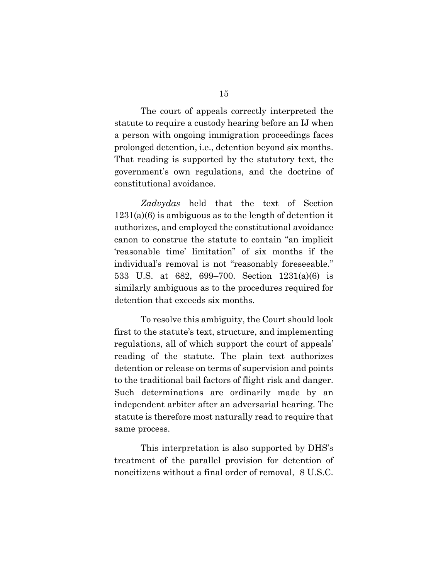The court of appeals correctly interpreted the statute to require a custody hearing before an IJ when a person with ongoing immigration proceedings faces prolonged detention, i.e., detention beyond six months. That reading is supported by the statutory text, the government's own regulations, and the doctrine of constitutional avoidance.

*Zadvydas* held that the text of Section 1231(a)(6) is ambiguous as to the length of detention it authorizes, and employed the constitutional avoidance canon to construe the statute to contain "an implicit 'reasonable time' limitation" of six months if the individual's removal is not "reasonably foreseeable." 533 U.S. at 682, 699–700. Section 1231(a)(6) is similarly ambiguous as to the procedures required for detention that exceeds six months.

To resolve this ambiguity, the Court should look first to the statute's text, structure, and implementing regulations, all of which support the court of appeals' reading of the statute. The plain text authorizes detention or release on terms of supervision and points to the traditional bail factors of flight risk and danger. Such determinations are ordinarily made by an independent arbiter after an adversarial hearing. The statute is therefore most naturally read to require that same process.

This interpretation is also supported by DHS's treatment of the parallel provision for detention of noncitizens without a final order of removal, 8 U.S.C.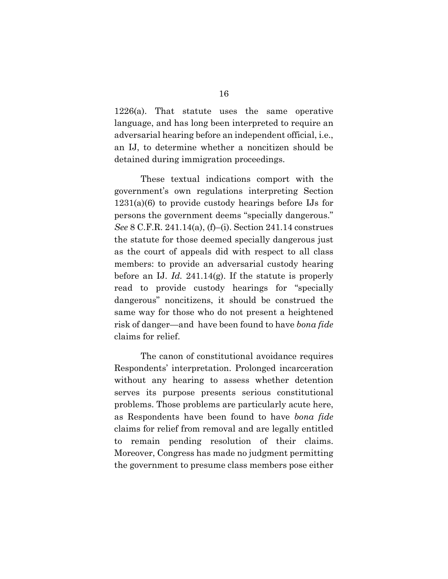1226(a). That statute uses the same operative language, and has long been interpreted to require an adversarial hearing before an independent official, i.e., an IJ, to determine whether a noncitizen should be detained during immigration proceedings.

<span id="page-30-1"></span>These textual indications comport with the government's own regulations interpreting Section 1231(a)(6) to provide custody hearings before IJs for persons the government deems "specially dangerous." *See* 8 C.F.R. 241.14(a), (f)–(i). Section 241.14 construes the statute for those deemed specially dangerous just as the court of appeals did with respect to all class members: to provide an adversarial custody hearing before an IJ. *Id.* 241.14(g). If the statute is properly read to provide custody hearings for "specially dangerous" noncitizens, it should be construed the same way for those who do not present a heightened risk of danger—and have been found to have *bona fide*  claims for relief.

<span id="page-30-0"></span>The canon of constitutional avoidance requires Respondents' interpretation. Prolonged incarceration without any hearing to assess whether detention serves its purpose presents serious constitutional problems. Those problems are particularly acute here, as Respondents have been found to have *bona fide* claims for relief from removal and are legally entitled to remain pending resolution of their claims. Moreover, Congress has made no judgment permitting the government to presume class members pose either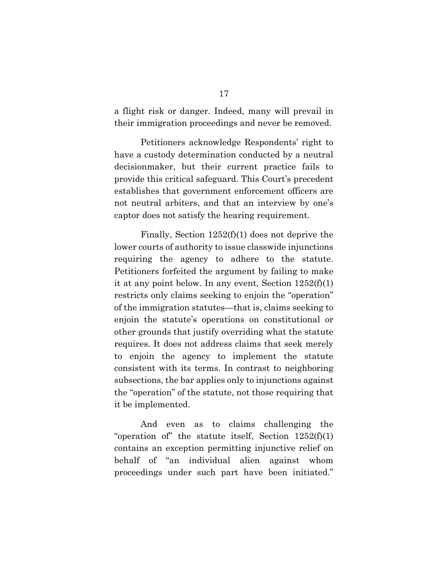a flight risk or danger. Indeed, many will prevail in their immigration proceedings and never be removed.

Petitioners acknowledge Respondents' right to have a custody determination conducted by a neutral decisionmaker, but their current practice fails to provide this critical safeguard. This Court's precedent establishes that government enforcement officers are not neutral arbiters, and that an interview by one's captor does not satisfy the hearing requirement.

Finally, Section 1252(f)(1) does not deprive the lower courts of authority to issue classwide injunctions requiring the agency to adhere to the statute. Petitioners forfeited the argument by failing to make it at any point below. In any event, Section 1252(f)(1) restricts only claims seeking to enjoin the "operation" of the immigration statutes—that is, claims seeking to enjoin the statute's operations on constitutional or other grounds that justify overriding what the statute requires. It does not address claims that seek merely to enjoin the agency to implement the statute consistent with its terms. In contrast to neighboring subsections, the bar applies only to injunctions against the "operation" of the statute, not those requiring that it be implemented.

And even as to claims challenging the "operation of" the statute itself, Section  $1252(f)(1)$ contains an exception permitting injunctive relief on behalf of "an individual alien against whom proceedings under such part have been initiated."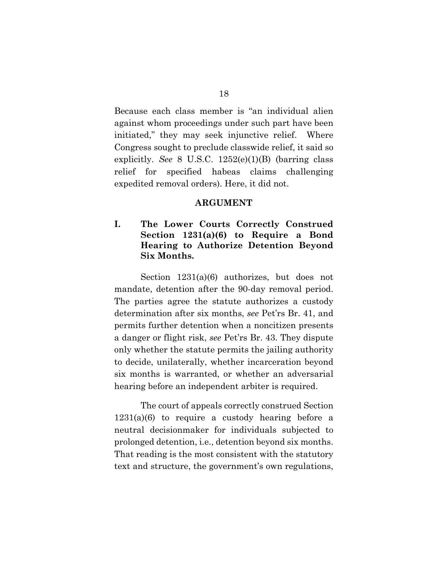Because each class member is "an individual alien against whom proceedings under such part have been initiated," they may seek injunctive relief. Where Congress sought to preclude classwide relief, it said so explicitly. *See* 8 U.S.C. 1252(e)(1)(B) (barring class relief for specified habeas claims challenging expedited removal orders). Here, it did not.

#### <span id="page-32-0"></span>**ARGUMENT**

### **I. The Lower Courts Correctly Construed Section 1231(a)(6) to Require a Bond Hearing to Authorize Detention Beyond Six Months.**

Section  $1231(a)(6)$  authorizes, but does not mandate, detention after the 90-day removal period. The parties agree the statute authorizes a custody determination after six months, *see* Pet'rs Br. 41, and permits further detention when a noncitizen presents a danger or flight risk, *see* Pet'rs Br. 43. They dispute only whether the statute permits the jailing authority to decide, unilaterally, whether incarceration beyond six months is warranted, or whether an adversarial hearing before an independent arbiter is required.

The court of appeals correctly construed Section 1231(a)(6) to require a custody hearing before a neutral decisionmaker for individuals subjected to prolonged detention, i.e., detention beyond six months. That reading is the most consistent with the statutory text and structure, the government's own regulations,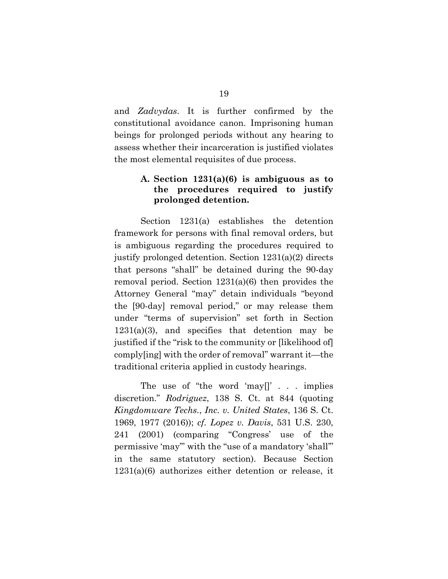and *Zadvydas*. It is further confirmed by the constitutional avoidance canon. Imprisoning human beings for prolonged periods without any hearing to assess whether their incarceration is justified violates the most elemental requisites of due process.

#### <span id="page-33-2"></span>**A. Section 1231(a)(6) is ambiguous as to the procedures required to justify prolonged detention.**

<span id="page-33-1"></span>Section 1231(a) establishes the detention framework for persons with final removal orders, but is ambiguous regarding the procedures required to justify prolonged detention. Section 1231(a)(2) directs that persons "shall" be detained during the 90-day removal period. Section 1231(a)(6) then provides the Attorney General "may" detain individuals "beyond the [90-day] removal period," or may release them under "terms of supervision" set forth in Section 1231(a)(3), and specifies that detention may be justified if the "risk to the community or [likelihood of] comply[ing] with the order of removal" warrant it—the traditional criteria applied in custody hearings.

<span id="page-33-3"></span><span id="page-33-0"></span>The use of "the word 'may[]' . . . implies discretion." *Rodriguez*, 138 S. Ct. at 844 (quoting *Kingdomware Techs.*, *Inc. v. United States*, 136 S. Ct. 1969, 1977 (2016)); *cf. Lopez v. Davis*, 531 U.S. 230, 241 (2001) (comparing "Congress' use of the permissive 'may'" with the "use of a mandatory 'shall'" in the same statutory section). Because Section 1231(a)(6) authorizes either detention or release, it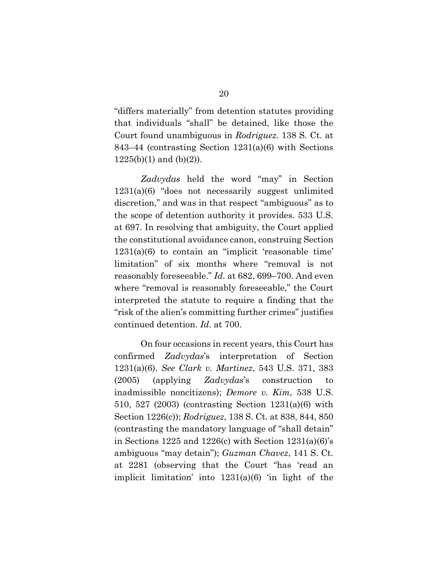"differs materially" from detention statutes providing that individuals "shall" be detained, like those the Court found unambiguous in *Rodriguez*. 138 S. Ct. at 843–44 (contrasting Section 1231(a)(6) with Sections  $1225(b)(1)$  and  $(b)(2)$ ).

<span id="page-34-3"></span>*Zadvydas* held the word "may" in Section 1231(a)(6) "does not necessarily suggest unlimited discretion," and was in that respect "ambiguous" as to the scope of detention authority it provides. 533 U.S. at 697. In resolving that ambiguity, the Court applied the constitutional avoidance canon, construing Section  $1231(a)(6)$  to contain an "implicit 'reasonable time' limitation" of six months where "removal is not reasonably foreseeable." *Id.* at 682, 699–700. And even where "removal is reasonably foreseeable," the Court interpreted the statute to require a finding that the "risk of the alien's committing further crimes" justifies continued detention. *Id*. at 700.

<span id="page-34-4"></span><span id="page-34-2"></span><span id="page-34-1"></span><span id="page-34-0"></span>On four occasions in recent years, this Court has confirmed *Zadvydas*'s interpretation of Section 1231(a)(6). *See Clark v. Martinez*, 543 U.S. 371, 383 (2005) (applying *Zadvydas*'s construction to inadmissible noncitizens); *Demore v. Kim*, 538 U.S. 510, 527 (2003) (contrasting Section 1231(a)(6) with Section 1226(c)); *Rodriguez*, 138 S. Ct. at 838, 844, 850 (contrasting the mandatory language of "shall detain" in Sections 1225 and 1226 $(c)$  with Section 1231 $(a)(6)$ 's ambiguous "may detain"); *Guzman Chavez*, 141 S. Ct. at 2281 (observing that the Court "has 'read an implicit limitation' into 1231(a)(6) 'in light of the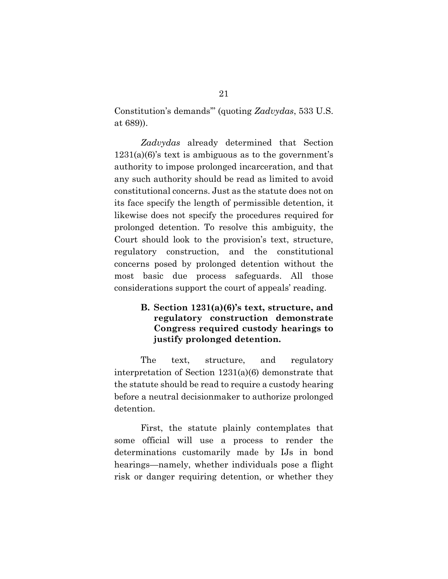Constitution's demands'" (quoting *Zadvydas*, 533 U.S. at 689)).

*Zadvydas* already determined that Section 1231(a)(6)'s text is ambiguous as to the government's authority to impose prolonged incarceration, and that any such authority should be read as limited to avoid constitutional concerns. Just as the statute does not on its face specify the length of permissible detention, it likewise does not specify the procedures required for prolonged detention. To resolve this ambiguity, the Court should look to the provision's text, structure, regulatory construction, and the constitutional concerns posed by prolonged detention without the most basic due process safeguards. All those considerations support the court of appeals' reading.

#### **B. Section 1231(a)(6)'s text, structure, and regulatory construction demonstrate Congress required custody hearings to justify prolonged detention.**

The text, structure, and regulatory interpretation of Section 1231(a)(6) demonstrate that the statute should be read to require a custody hearing before a neutral decisionmaker to authorize prolonged detention.

First, the statute plainly contemplates that some official will use a process to render the determinations customarily made by IJs in bond hearings—namely, whether individuals pose a flight risk or danger requiring detention, or whether they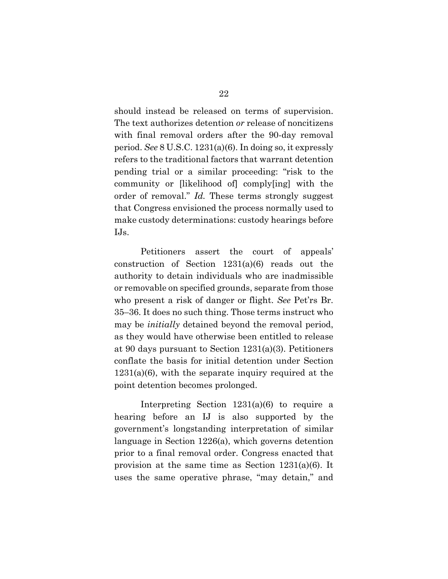should instead be released on terms of supervision. The text authorizes detention *or* release of noncitizens with final removal orders after the 90-day removal period. *See* 8 U.S.C. 1231(a)(6). In doing so, it expressly refers to the traditional factors that warrant detention pending trial or a similar proceeding: "risk to the community or [likelihood of] comply[ing] with the order of removal." *Id.* These terms strongly suggest that Congress envisioned the process normally used to make custody determinations: custody hearings before IJs.

Petitioners assert the court of appeals' construction of Section 1231(a)(6) reads out the authority to detain individuals who are inadmissible or removable on specified grounds, separate from those who present a risk of danger or flight. *See* Pet'rs Br. 35–36. It does no such thing. Those terms instruct who may be *initially* detained beyond the removal period, as they would have otherwise been entitled to release at 90 days pursuant to Section 1231(a)(3). Petitioners conflate the basis for initial detention under Section  $1231(a)(6)$ , with the separate inquiry required at the point detention becomes prolonged.

Interpreting Section 1231(a)(6) to require a hearing before an IJ is also supported by the government's longstanding interpretation of similar language in Section 1226(a), which governs detention prior to a final removal order. Congress enacted that provision at the same time as Section 1231(a)(6). It uses the same operative phrase, "may detain," and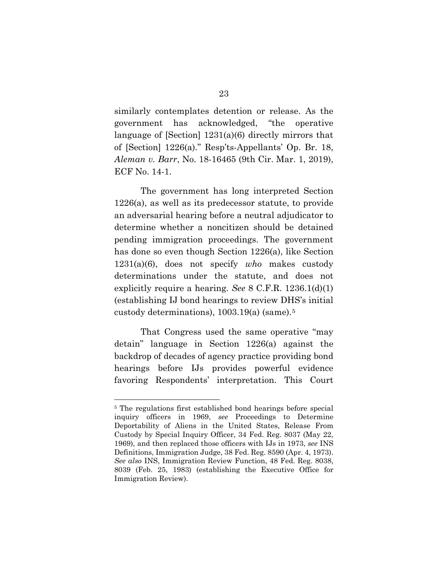similarly contemplates detention or release. As the government has acknowledged, "the operative language of [Section] 1231(a)(6) directly mirrors that of [Section] 1226(a)." Resp'ts-Appellants' Op. Br. 18, *Aleman v. Barr*, No. 18-16465 (9th Cir. Mar. 1, 2019), ECF No. 14-1.

The government has long interpreted Section 1226(a), as well as its predecessor statute, to provide an adversarial hearing before a neutral adjudicator to determine whether a noncitizen should be detained pending immigration proceedings. The government has done so even though Section 1226(a), like Section 1231(a)(6), does not specify *who* makes custody determinations under the statute, and does not explicitly require a hearing. *See* 8 C.F.R. 1236.1(d)(1) (establishing IJ bond hearings to review DHS's initial custody determinations), 1003.19(a) (same).[5](#page-37-0) 

That Congress used the same operative "may detain" language in Section 1226(a) against the backdrop of decades of agency practice providing bond hearings before IJs provides powerful evidence favoring Respondents' interpretation. This Court

<span id="page-37-0"></span><sup>5</sup> The regulations first established bond hearings before special inquiry officers in 1969, *see* Proceedings to Determine Deportability of Aliens in the United States, Release From Custody by Special Inquiry Officer, 34 Fed. Reg. 8037 (May 22, 1969), and then replaced those officers with IJs in 1973, *see* INS Definitions, Immigration Judge, 38 Fed. Reg. 8590 (Apr. 4, 1973). *See also* INS, Immigration Review Function, 48 Fed. Reg. 8038, 8039 (Feb. 25, 1983) (establishing the Executive Office for Immigration Review).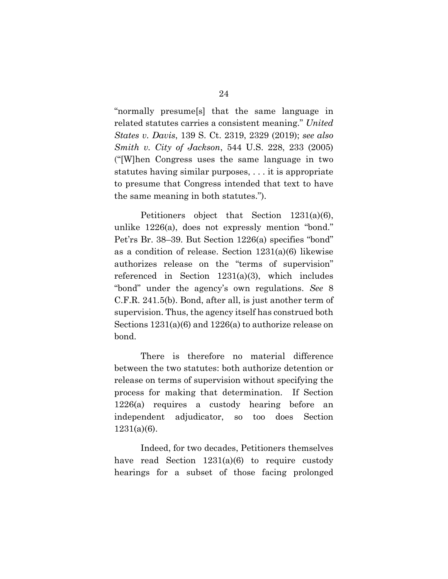"normally presume[s] that the same language in related statutes carries a consistent meaning." *United States v. Davis*, 139 S. Ct. 2319, 2329 (2019); *see also Smith v. City of Jackson*, 544 U.S. 228, 233 (2005) ("[W]hen Congress uses the same language in two statutes having similar purposes, . . . it is appropriate to presume that Congress intended that text to have the same meaning in both statutes.").

Petitioners object that Section 1231(a)(6), unlike 1226(a), does not expressly mention "bond." Pet'rs Br. 38–39. But Section 1226(a) specifies "bond" as a condition of release. Section 1231(a)(6) likewise authorizes release on the "terms of supervision" referenced in Section 1231(a)(3), which includes "bond" under the agency's own regulations. *See* 8 C.F.R. 241.5(b). Bond, after all, is just another term of supervision. Thus, the agency itself has construed both Sections 1231(a)(6) and 1226(a) to authorize release on bond.

There is therefore no material difference between the two statutes: both authorize detention or release on terms of supervision without specifying the process for making that determination. If Section 1226(a) requires a custody hearing before an independent adjudicator, so too does Section  $1231(a)(6)$ .

Indeed, for two decades, Petitioners themselves have read Section 1231(a)(6) to require custody hearings for a subset of those facing prolonged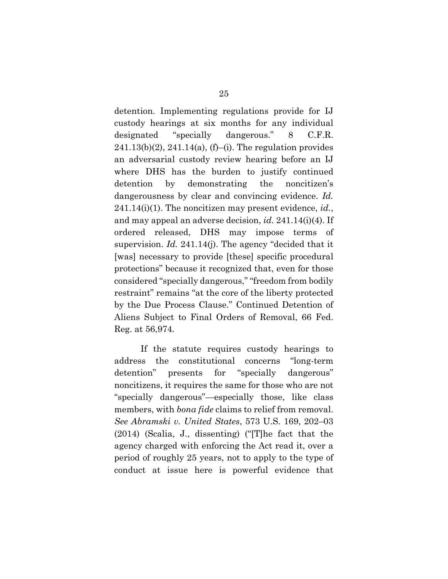detention. Implementing regulations provide for IJ custody hearings at six months for any individual designated "specially dangerous." 8 C.F.R.  $241.13(b)(2)$ ,  $241.14(a)$ ,  $(f)$ –(i). The regulation provides an adversarial custody review hearing before an IJ where DHS has the burden to justify continued detention by demonstrating the noncitizen's dangerousness by clear and convincing evidence. *Id.*  241.14(i)(1). The noncitizen may present evidence, *id.*, and may appeal an adverse decision, *id.* 241.14(i)(4). If ordered released, DHS may impose terms of supervision. *Id.* 241.14(j). The agency "decided that it [was] necessary to provide [these] specific procedural protections" because it recognized that, even for those considered "specially dangerous," "freedom from bodily restraint" remains "at the core of the liberty protected by the Due Process Clause." Continued Detention of Aliens Subject to Final Orders of Removal, 66 Fed. Reg. at 56,974*.*

If the statute requires custody hearings to address the constitutional concerns "long-term detention" presents for "specially dangerous" noncitizens, it requires the same for those who are not "specially dangerous"—especially those, like class members, with *bona fide* claims to relief from removal. *See Abramski v. United States*, 573 U.S. 169, 202–03 (2014) (Scalia, J., dissenting) ("[T]he fact that the agency charged with enforcing the Act read it, over a period of roughly 25 years, not to apply to the type of conduct at issue here is powerful evidence that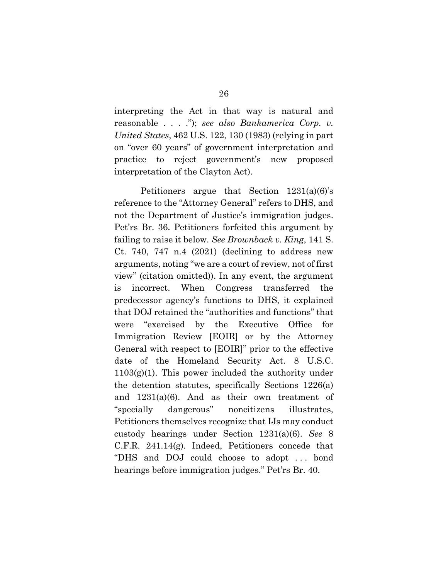interpreting the Act in that way is natural and reasonable . . . ."); *see also Bankamerica Corp. v. United States*, 462 U.S. 122, 130 (1983) (relying in part on "over 60 years" of government interpretation and practice to reject government's new proposed interpretation of the Clayton Act).

Petitioners argue that Section 1231(a)(6)'s reference to the "Attorney General" refers to DHS, and not the Department of Justice's immigration judges. Pet'rs Br. 36. Petitioners forfeited this argument by failing to raise it below. *See Brownback v. King*, 141 S. Ct. 740, 747 n.4  $(2021)$  (declining to address new arguments, noting "we are a court of review, not of first view" (citation omitted)). In any event, the argument is incorrect. When Congress transferred the predecessor agency's functions to DHS, it explained that DOJ retained the "authorities and functions" that were "exercised by the Executive Office for Immigration Review [EOIR] or by the Attorney General with respect to [EOIR]" prior to the effective date of the Homeland Security Act. 8 U.S.C. 1103(g)(1). This power included the authority under the detention statutes, specifically Sections 1226(a) and 1231(a)(6). And as their own treatment of "specially dangerous" noncitizens illustrates, Petitioners themselves recognize that IJs may conduct custody hearings under Section 1231(a)(6). *See* 8 C.F.R. 241.14(g). Indeed, Petitioners concede that "DHS and DOJ could choose to adopt . . . bond hearings before immigration judges." Pet'rs Br. 40.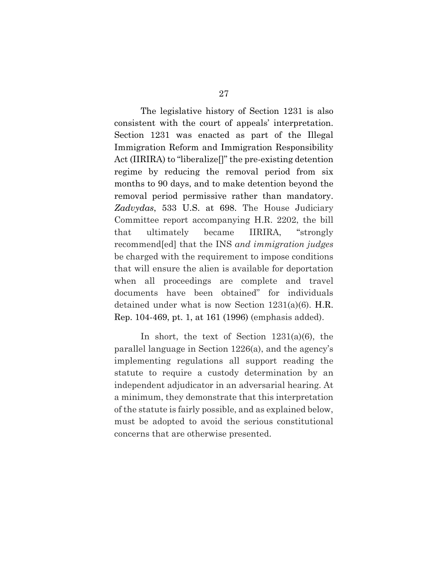The legislative history of Section 1231 is also consistent with the court of appeals' interpretation. Section 1231 was enacted as part of the Illegal Immigration Reform and Immigration Responsibility Act (IIRIRA) to "liberalize[]" the pre-existing detention regime by reducing the removal period from six months to 90 days, and to make detention beyond the removal period permissive rather than mandatory. *Zadvydas*, 533 U.S. at 698. The House Judiciary Committee report accompanying H.R. 2202, the bill that ultimately became IIRIRA, "strongly recommend[ed] that the INS *and immigration judges* be charged with the requirement to impose conditions that will ensure the alien is available for deportation when all proceedings are complete and travel documents have been obtained" for individuals detained under what is now Section 1231(a)(6). H.R. Rep. 104-469, pt. 1, at 161 (1996) (emphasis added).

In short, the text of Section 1231(a)(6), the parallel language in Section 1226(a), and the agency's implementing regulations all support reading the statute to require a custody determination by an independent adjudicator in an adversarial hearing. At a minimum, they demonstrate that this interpretation of the statute is fairly possible, and as explained below, must be adopted to avoid the serious constitutional concerns that are otherwise presented.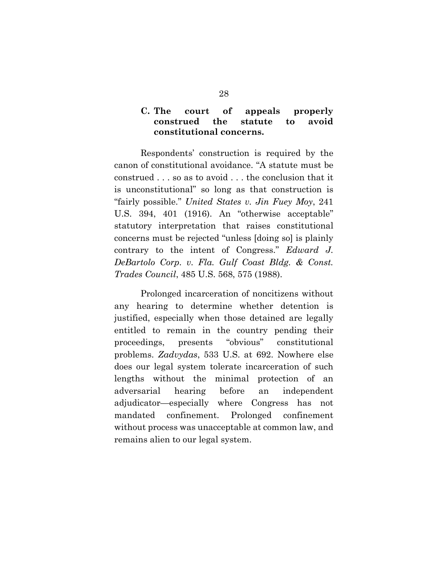### **C. The court of appeals properly construed the statute to avoid constitutional concerns.**

Respondents' construction is required by the canon of constitutional avoidance. "A statute must be construed . . . so as to avoid . . . the conclusion that it is unconstitutional" so long as that construction is "fairly possible." *United States v. Jin Fuey Moy*, 241 U.S. 394, 401 (1916). An "otherwise acceptable" statutory interpretation that raises constitutional concerns must be rejected "unless [doing so] is plainly contrary to the intent of Congress." *Edward J. DeBartolo Corp. v. Fla. Gulf Coast Bldg. & Const. Trades Council*, 485 U.S. 568, 575 (1988).

Prolonged incarceration of noncitizens without any hearing to determine whether detention is justified, especially when those detained are legally entitled to remain in the country pending their proceedings, presents "obvious" constitutional problems. *Zadvydas*, 533 U.S. at 692. Nowhere else does our legal system tolerate incarceration of such lengths without the minimal protection of an adversarial hearing before an independent adjudicator—especially where Congress has not mandated confinement. Prolonged confinement without process was unacceptable at common law, and remains alien to our legal system.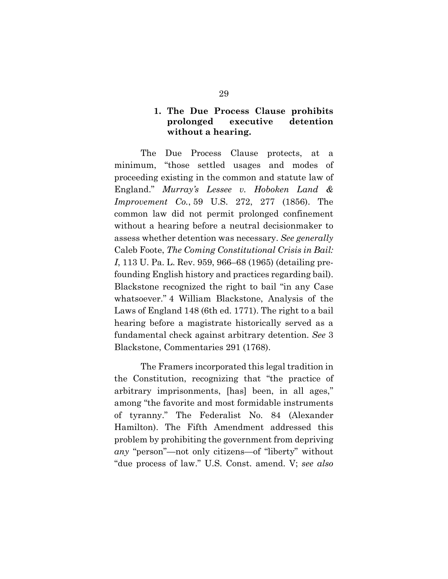### **1. The Due Process Clause prohibits prolonged executive detention without a hearing.**

The Due Process Clause protects, at a minimum, "those settled usages and modes of proceeding existing in the common and statute law of England." *Murray's Lessee v. Hoboken Land & Improvement Co.*, 59 U.S. 272, 277 (1856). The common law did not permit prolonged confinement without a hearing before a neutral decisionmaker to assess whether detention was necessary. *See generally*  Caleb Foote, *The Coming Constitutional Crisis in Bail: I*, 113 U. Pa. L. Rev. 959, 966–68 (1965) (detailing prefounding English history and practices regarding bail). Blackstone recognized the right to bail "in any Case whatsoever." 4 William Blackstone, Analysis of the Laws of England 148 (6th ed. 1771). The right to a bail hearing before a magistrate historically served as a fundamental check against arbitrary detention. *See* 3 Blackstone, Commentaries 291 (1768).

The Framers incorporated this legal tradition in the Constitution, recognizing that "the practice of arbitrary imprisonments, [has] been, in all ages," among "the favorite and most formidable instruments of tyranny." The Federalist No. 84 (Alexander Hamilton). The Fifth Amendment addressed this problem by prohibiting the government from depriving *any* "person"—not only citizens—of "liberty" without "due process of law." U.S. Const. amend. V; *see also*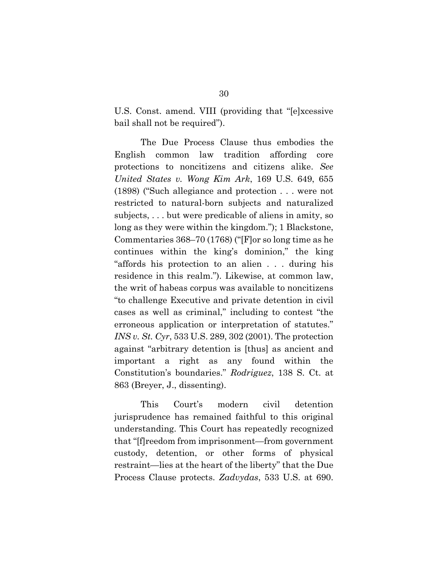U.S. Const. amend. VIII (providing that "[e]xcessive bail shall not be required").

The Due Process Clause thus embodies the English common law tradition affording core protections to noncitizens and citizens alike. *See United States v. Wong Kim Ark*, 169 U.S. 649, 655 (1898) ("Such allegiance and protection . . . were not restricted to natural-born subjects and naturalized subjects, . . . but were predicable of aliens in amity, so long as they were within the kingdom."); 1 Blackstone, Commentaries 368–70 (1768) ("[F]or so long time as he continues within the king's dominion," the king "affords his protection to an alien . . . during his residence in this realm."). Likewise, at common law, the writ of habeas corpus was available to noncitizens "to challenge Executive and private detention in civil cases as well as criminal," including to contest "the erroneous application or interpretation of statutes." *INS v. St. Cyr*, 533 U.S. 289, 302 (2001). The protection against "arbitrary detention is [thus] as ancient and important a right as any found within the Constitution's boundaries." *Rodriguez*, 138 S. Ct. at 863 (Breyer, J., dissenting).

This Court's modern civil detention jurisprudence has remained faithful to this original understanding. This Court has repeatedly recognized that "[f]reedom from imprisonment—from government custody, detention, or other forms of physical restraint—lies at the heart of the liberty" that the Due Process Clause protects. *Zadvydas*, 533 U.S. at 690.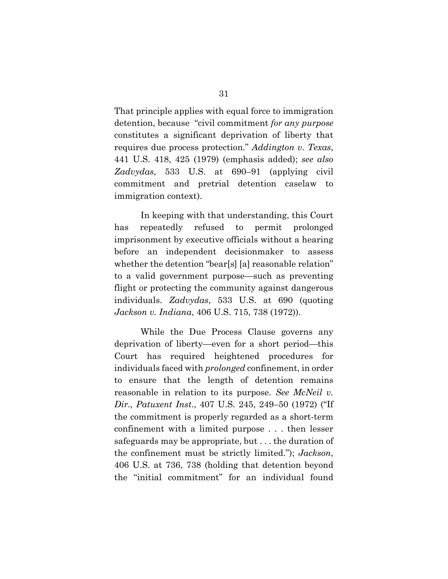That principle applies with equal force to immigration detention, because "civil commitment *for any purpose* constitutes a significant deprivation of liberty that requires due process protection." *Addington v. Texas*, 441 U.S. 418, 425 (1979) (emphasis added); *see also Zadvydas*, 533 U.S. at 690–91 (applying civil commitment and pretrial detention caselaw to immigration context).

In keeping with that understanding, this Court has repeatedly refused to permit prolonged imprisonment by executive officials without a hearing before an independent decisionmaker to assess whether the detention "bear[s] [a] reasonable relation" to a valid government purpose—such as preventing flight or protecting the community against dangerous individuals. *Zadvydas*, 533 U.S. at 690 (quoting *Jackson v. Indiana*, 406 U.S. 715, 738 (1972)).

While the Due Process Clause governs any deprivation of liberty—even for a short period—this Court has required heightened procedures for individuals faced with *prolonged* confinement, in order to ensure that the length of detention remains reasonable in relation to its purpose. *See McNeil v. Dir., Patuxent Inst*., 407 U.S. 245, 249–50 (1972) ("If the commitment is properly regarded as a short-term confinement with a limited purpose . . . then lesser safeguards may be appropriate, but . . . the duration of the confinement must be strictly limited."); *Jackson*, 406 U.S. at 736, 738 (holding that detention beyond the "initial commitment" for an individual found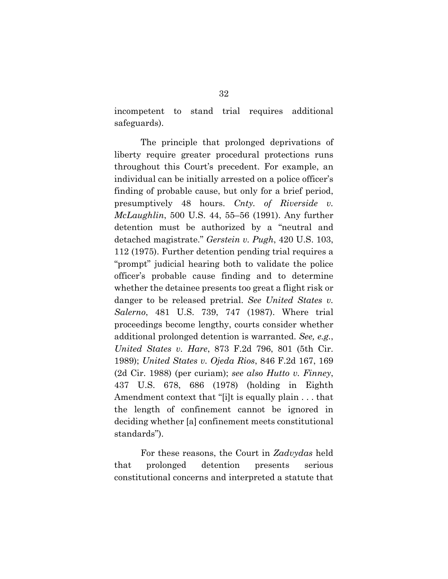incompetent to stand trial requires additional safeguards).

The principle that prolonged deprivations of liberty require greater procedural protections runs throughout this Court's precedent. For example, an individual can be initially arrested on a police officer's finding of probable cause, but only for a brief period, presumptively 48 hours. *Cnty. of Riverside v. McLaughlin*, 500 U.S. 44, 55–56 (1991). Any further detention must be authorized by a "neutral and detached magistrate." *Gerstein v. Pugh*, 420 U.S. 103, 112 (1975). Further detention pending trial requires a "prompt" judicial hearing both to validate the police officer's probable cause finding and to determine whether the detainee presents too great a flight risk or danger to be released pretrial. *See United States v. Salerno*, 481 U.S. 739, 747 (1987). Where trial proceedings become lengthy, courts consider whether additional prolonged detention is warranted. *See, e.g.*, *United States v. Hare*, 873 F.2d 796, 801 (5th Cir. 1989); *United States v. Ojeda Rios*, 846 F.2d 167, 169 (2d Cir. 1988) (per curiam); *see also Hutto v. Finney*, 437 U.S. 678, 686 (1978) (holding in Eighth Amendment context that "[i]t is equally plain . . . that the length of confinement cannot be ignored in deciding whether [a] confinement meets constitutional standards").

For these reasons, the Court in *Zadvydas* held that prolonged detention presents serious constitutional concerns and interpreted a statute that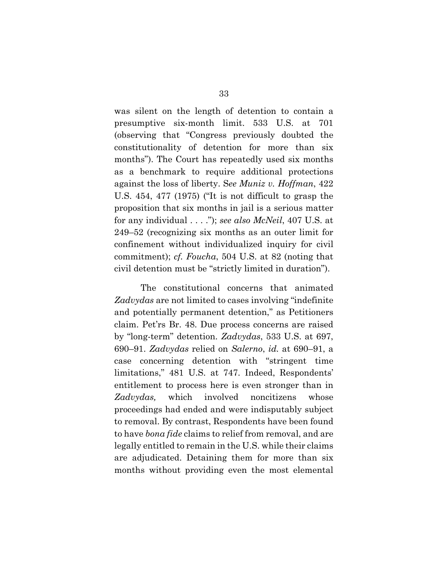was silent on the length of detention to contain a presumptive six-month limit. 533 U.S. at 701 (observing that "Congress previously doubted the constitutionality of detention for more than six months"). The Court has repeatedly used six months as a benchmark to require additional protections against the loss of liberty. S*ee Muniz v. Hoffman*, 422 U.S. 454, 477 (1975) ("It is not difficult to grasp the proposition that six months in jail is a serious matter for any individual . . . ."); *see also McNeil*, 407 U.S. at 249–52 (recognizing six months as an outer limit for confinement without individualized inquiry for civil commitment); *cf. Foucha*, 504 U.S. at 82 (noting that civil detention must be "strictly limited in duration").

The constitutional concerns that animated *Zadvydas* are not limited to cases involving "indefinite and potentially permanent detention," as Petitioners claim. Pet'rs Br. 48. Due process concerns are raised by "long-term" detention. *Zadvydas*, 533 U.S. at 697, 690–91. *Zadvydas* relied on *Salerno*, *id.* at 690–91, a case concerning detention with "stringent time limitations," 481 U.S. at 747. Indeed, Respondents' entitlement to process here is even stronger than in *Zadvydas,* which involved noncitizens whose proceedings had ended and were indisputably subject to removal. By contrast, Respondents have been found to have *bona fide* claims to relief from removal, and are legally entitled to remain in the U.S. while their claims are adjudicated. Detaining them for more than six months without providing even the most elemental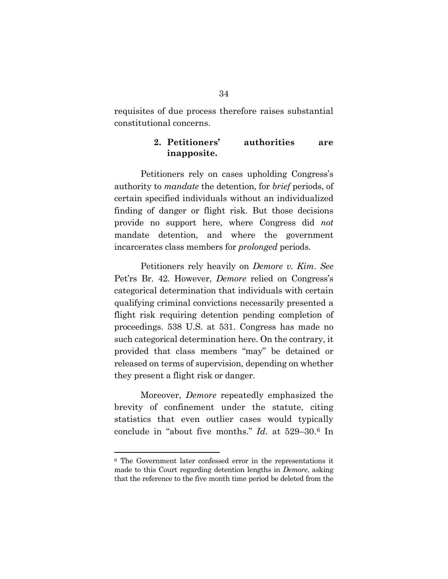requisites of due process therefore raises substantial constitutional concerns.

#### **2. Petitioners' authorities are inapposite.**

Petitioners rely on cases upholding Congress's authority to *mandate* the detention, for *brief* periods, of certain specified individuals without an individualized finding of danger or flight risk. But those decisions provide no support here, where Congress did *not* mandate detention, and where the government incarcerates class members for *prolonged* periods.

Petitioners rely heavily on *Demore v. Kim*. *See* Pet'rs Br. 42. However, *Demore* relied on Congress's categorical determination that individuals with certain qualifying criminal convictions necessarily presented a flight risk requiring detention pending completion of proceedings. 538 U.S. at 531. Congress has made no such categorical determination here. On the contrary, it provided that class members "may" be detained or released on terms of supervision, depending on whether they present a flight risk or danger.

Moreover, *Demore* repeatedly emphasized the brevity of confinement under the statute, citing statistics that even outlier cases would typically conclude in "about five months." *Id.* at 529–30.[6](#page-48-0) In

<span id="page-48-0"></span><sup>6</sup> The Government later confessed error in the representations it made to this Court regarding detention lengths in *Demore*, asking that the reference to the five month time period be deleted from the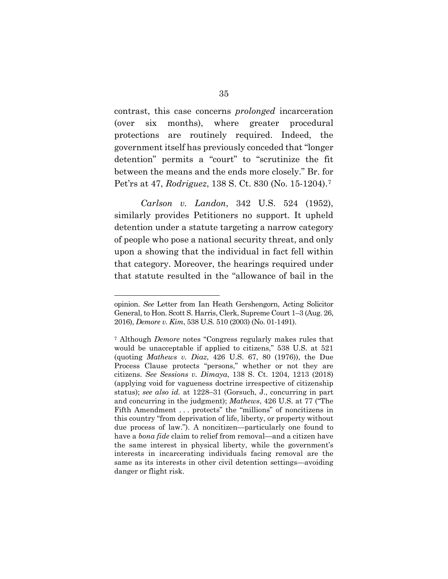contrast, this case concerns *prolonged* incarceration (over six months), where greater procedural protections are routinely required. Indeed, the government itself has previously conceded that "longer detention" permits a "court" to "scrutinize the fit between the means and the ends more closely." Br. for Pet'rs at 47, *Rodriguez*, 138 S. Ct. 830 (No. 15-1204).[7](#page-49-0)

*Carlson v. Landon*, 342 U.S. 524 (1952), similarly provides Petitioners no support. It upheld detention under a statute targeting a narrow category of people who pose a national security threat, and only upon a showing that the individual in fact fell within that category. Moreover, the hearings required under that statute resulted in the "allowance of bail in the

opinion. *See* Letter from Ian Heath Gershengorn, Acting Solicitor General, to Hon. Scott S. Harris, Clerk, Supreme Court 1–3 (Aug. 26, 2016), *Demore v. Kim*, 538 U.S. 510 (2003) (No. 01-1491).

<span id="page-49-0"></span><sup>7</sup> Although *Demore* notes "Congress regularly makes rules that would be unacceptable if applied to citizens," 538 U.S. at 521 (quoting *Mathews v. Diaz*, 426 U.S. 67, 80 (1976)), the Due Process Clause protects "persons," whether or not they are citizens. *See Sessions v. Dimaya*, 138 S. Ct. 1204, 1213 (2018) (applying void for vagueness doctrine irrespective of citizenship status); *see also id.* at 1228–31 (Gorsuch, J., concurring in part and concurring in the judgment); *Mathews*, 426 U.S. at 77 ("The Fifth Amendment . . . protects" the "millions" of noncitizens in this country "from deprivation of life, liberty, or property without due process of law."). A noncitizen—particularly one found to have a *bona fide* claim to relief from removal—and a citizen have the same interest in physical liberty, while the government's interests in incarcerating individuals facing removal are the same as its interests in other civil detention settings—avoiding danger or flight risk.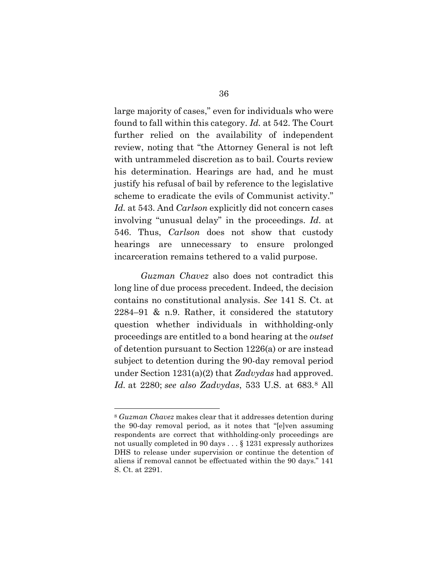large majority of cases," even for individuals who were found to fall within this category. *Id.* at 542. The Court further relied on the availability of independent review, noting that "the Attorney General is not left with untrammeled discretion as to bail. Courts review his determination. Hearings are had, and he must justify his refusal of bail by reference to the legislative scheme to eradicate the evils of Communist activity." *Id.* at 543. And *Carlson* explicitly did not concern cases involving "unusual delay" in the proceedings. *Id*. at 546. Thus, *Carlson* does not show that custody hearings are unnecessary to ensure prolonged incarceration remains tethered to a valid purpose.

*Guzman Chavez* also does not contradict this long line of due process precedent. Indeed, the decision contains no constitutional analysis. *See* 141 S. Ct. at 2284–91 & n.9. Rather, it considered the statutory question whether individuals in withholding-only proceedings are entitled to a bond hearing at the *outset* of detention pursuant to Section 1226(a) or are instead subject to detention during the 90-day removal period under Section 1231(a)(2) that *Zadvydas* had approved. *Id.* at 2280; *see also Zadvydas*, 533 U.S. at 683.[8](#page-50-0) All

<span id="page-50-0"></span><sup>8</sup> *Guzman Chavez* makes clear that it addresses detention during the 90-day removal period, as it notes that "[e]ven assuming respondents are correct that withholding-only proceedings are not usually completed in 90 days . . . § 1231 expressly authorizes DHS to release under supervision or continue the detention of aliens if removal cannot be effectuated within the 90 days." 141 S. Ct. at 2291.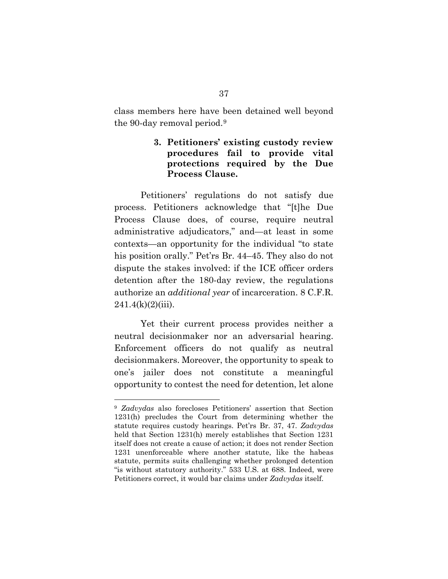class members here have been detained well beyond the 90-day removal period.[9](#page-51-0) 

## **3. Petitioners' existing custody review procedures fail to provide vital protections required by the Due Process Clause.**

Petitioners' regulations do not satisfy due process. Petitioners acknowledge that "[t]he Due Process Clause does, of course, require neutral administrative adjudicators," and—at least in some contexts—an opportunity for the individual "to state his position orally." Pet'rs Br. 44–45. They also do not dispute the stakes involved: if the ICE officer orders detention after the 180-day review, the regulations authorize an *additional year* of incarceration. 8 C.F.R.  $241.4(k)(2)(iii)$ .

Yet their current process provides neither a neutral decisionmaker nor an adversarial hearing. Enforcement officers do not qualify as neutral decisionmakers. Moreover, the opportunity to speak to one's jailer does not constitute a meaningful opportunity to contest the need for detention, let alone

<span id="page-51-0"></span><sup>9</sup> *Zadvydas* also forecloses Petitioners' assertion that Section 1231(h) precludes the Court from determining whether the statute requires custody hearings. Pet'rs Br. 37, 47. *Zadvydas* held that Section 1231(h) merely establishes that Section 1231 itself does not create a cause of action; it does not render Section 1231 unenforceable where another statute, like the habeas statute, permits suits challenging whether prolonged detention "is without statutory authority." 533 U.S. at 688. Indeed, were Petitioners correct, it would bar claims under *Zadvydas* itself.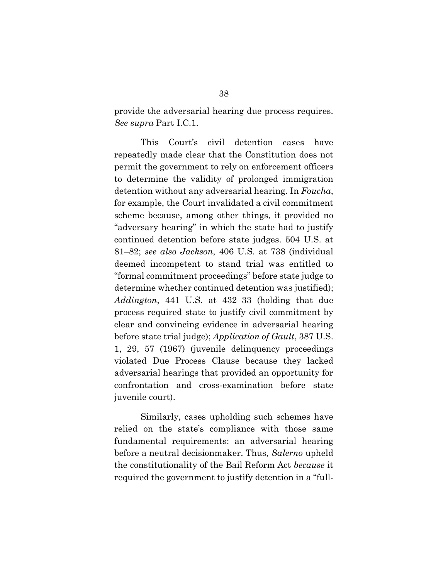provide the adversarial hearing due process requires. *See supra* Part I.C.1.

This Court's civil detention cases have repeatedly made clear that the Constitution does not permit the government to rely on enforcement officers to determine the validity of prolonged immigration detention without any adversarial hearing. In *Foucha*, for example, the Court invalidated a civil commitment scheme because, among other things, it provided no "adversary hearing" in which the state had to justify continued detention before state judges. 504 U.S. at 81–82; *see also Jackson*, 406 U.S. at 738 (individual deemed incompetent to stand trial was entitled to "formal commitment proceedings" before state judge to determine whether continued detention was justified); *Addington*, 441 U.S. at 432–33 (holding that due process required state to justify civil commitment by clear and convincing evidence in adversarial hearing before state trial judge); *Application of Gault*, 387 U.S. 1, 29, 57 (1967) (juvenile delinquency proceedings violated Due Process Clause because they lacked adversarial hearings that provided an opportunity for confrontation and cross-examination before state juvenile court).

Similarly, cases upholding such schemes have relied on the state's compliance with those same fundamental requirements: an adversarial hearing before a neutral decisionmaker. Thus*, Salerno* upheld the constitutionality of the Bail Reform Act *because* it required the government to justify detention in a "full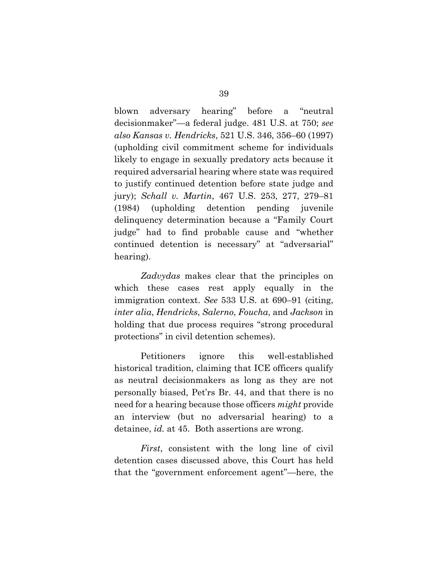blown adversary hearing" before a "neutral decisionmaker"—a federal judge. 481 U.S. at 750; *see also Kansas v. Hendricks*, 521 U.S. 346, 356–60 (1997) (upholding civil commitment scheme for individuals likely to engage in sexually predatory acts because it required adversarial hearing where state was required to justify continued detention before state judge and jury); *Schall v. Martin*, 467 U.S. 253, 277, 279–81 (1984) (upholding detention pending juvenile delinquency determination because a "Family Court judge" had to find probable cause and "whether continued detention is necessary" at "adversarial" hearing).

*Zadvydas* makes clear that the principles on which these cases rest apply equally in the immigration context. *See* 533 U.S. at 690–91 (citing, *inter alia*, *Hendricks*, *Salerno*, *Foucha*, and *Jackson* in holding that due process requires "strong procedural protections" in civil detention schemes).

Petitioners ignore this well-established historical tradition, claiming that ICE officers qualify as neutral decisionmakers as long as they are not personally biased, Pet'rs Br. 44, and that there is no need for a hearing because those officers *might* provide an interview (but no adversarial hearing) to a detainee, *id.* at 45. Both assertions are wrong.

*First*, consistent with the long line of civil detention cases discussed above, this Court has held that the "government enforcement agent"—here, the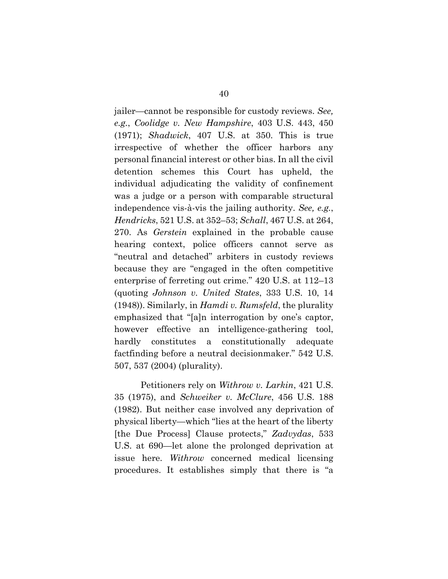jailer—cannot be responsible for custody reviews. *See, e.g.*, *Coolidge v. New Hampshire*, 403 U.S. 443, 450 (1971); *Shadwick*, 407 U.S. at 350. This is true irrespective of whether the officer harbors any personal financial interest or other bias. In all the civil detention schemes this Court has upheld, the individual adjudicating the validity of confinement was a judge or a person with comparable structural independence vis-à-vis the jailing authority. *See, e.g.*, *Hendricks*, 521 U.S. at 352–53; *Schall*, 467 U.S. at 264, 270. As *Gerstein* explained in the probable cause hearing context, police officers cannot serve as "neutral and detached" arbiters in custody reviews because they are "engaged in the often competitive enterprise of ferreting out crime." 420 U.S. at 112–13 (quoting *Johnson v. United States*, 333 U.S. 10, 14 (1948)). Similarly, in *Hamdi v. Rumsfeld*, the plurality emphasized that "[a]n interrogation by one's captor, however effective an intelligence-gathering tool, hardly constitutes a constitutionally adequate factfinding before a neutral decisionmaker." 542 U.S. 507, 537 (2004) (plurality).

Petitioners rely on *Withrow v. Larkin*, 421 U.S. 35 (1975), and *Schweiker v. McClure*, 456 U.S. 188 (1982). But neither case involved any deprivation of physical liberty—which "lies at the heart of the liberty [the Due Process] Clause protects," *Zadvydas*, 533 U.S. at 690—let alone the prolonged deprivation at issue here. *Withrow* concerned medical licensing procedures. It establishes simply that there is "a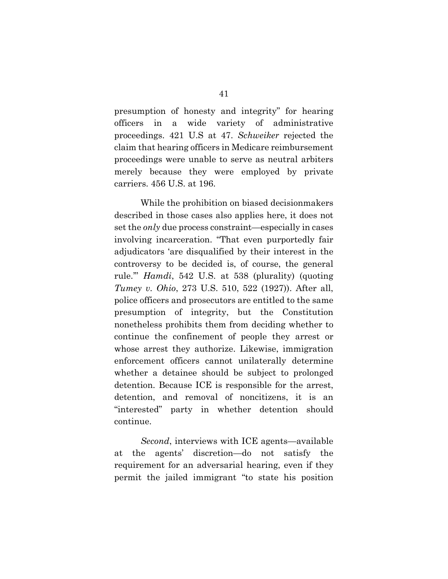presumption of honesty and integrity" for hearing officers in a wide variety of administrative proceedings. 421 U.S at 47. *Schweiker* rejected the claim that hearing officers in Medicare reimbursement proceedings were unable to serve as neutral arbiters merely because they were employed by private carriers. 456 U.S. at 196.

While the prohibition on biased decisionmakers described in those cases also applies here, it does not set the *only* due process constraint—especially in cases involving incarceration. "That even purportedly fair adjudicators 'are disqualified by their interest in the controversy to be decided is, of course, the general rule.'" *Hamdi*, 542 U.S. at 538 (plurality) (quoting *Tumey v. Ohio*, 273 U.S. 510, 522 (1927)). After all, police officers and prosecutors are entitled to the same presumption of integrity, but the Constitution nonetheless prohibits them from deciding whether to continue the confinement of people they arrest or whose arrest they authorize. Likewise, immigration enforcement officers cannot unilaterally determine whether a detainee should be subject to prolonged detention. Because ICE is responsible for the arrest, detention, and removal of noncitizens, it is an "interested" party in whether detention should continue.

*Second*, interviews with ICE agents—available at the agents' discretion—do not satisfy the requirement for an adversarial hearing, even if they permit the jailed immigrant "to state his position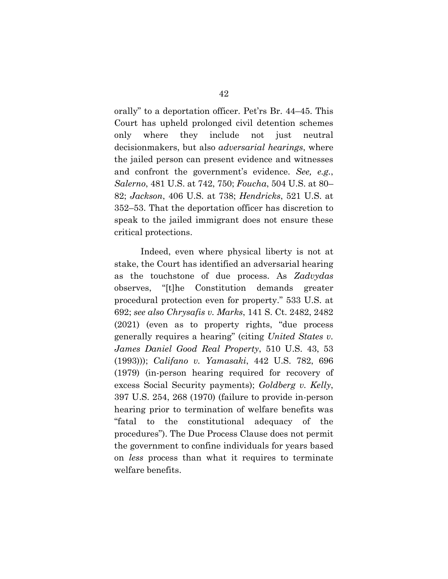orally" to a deportation officer. Pet'rs Br. 44–45. This Court has upheld prolonged civil detention schemes only where they include not just neutral decisionmakers, but also *adversarial hearings*, where the jailed person can present evidence and witnesses and confront the government's evidence. *See, e.g.*, *Salerno*, 481 U.S. at 742, 750; *Foucha*, 504 U.S. at 80– 82; *Jackson*, 406 U.S. at 738; *Hendricks*, 521 U.S. at 352–53. That the deportation officer has discretion to speak to the jailed immigrant does not ensure these critical protections.

Indeed, even where physical liberty is not at stake, the Court has identified an adversarial hearing as the touchstone of due process. As *Zadvydas*  observes, "[t]he Constitution demands greater procedural protection even for property." 533 U.S. at 692; *see also Chrysafis v. Marks*, 141 S. Ct. 2482, 2482 (2021) (even as to property rights, "due process generally requires a hearing" (citing *United States v. James Daniel Good Real Property*, 510 U.S. 43, 53 (1993))); *Califano v. Yamasaki*, 442 U.S. 782, 696 (1979) (in-person hearing required for recovery of excess Social Security payments); *Goldberg v. Kelly*, 397 U.S. 254, 268 (1970) (failure to provide in-person hearing prior to termination of welfare benefits was "fatal to the constitutional adequacy of the procedures"). The Due Process Clause does not permit the government to confine individuals for years based on *less* process than what it requires to terminate welfare benefits.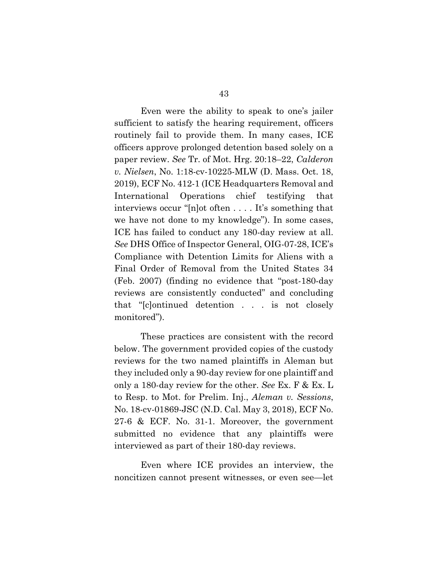Even were the ability to speak to one's jailer sufficient to satisfy the hearing requirement, officers routinely fail to provide them. In many cases, ICE officers approve prolonged detention based solely on a paper review. *See* Tr. of Mot. Hrg. 20:18–22, *Calderon v. Nielsen*, No. 1:18-cv-10225-MLW (D. Mass. Oct. 18, 2019), ECF No. 412-1 (ICE Headquarters Removal and International Operations chief testifying that interviews occur "[n]ot often . . . . It's something that we have not done to my knowledge"). In some cases, ICE has failed to conduct any 180-day review at all. *See* DHS Office of Inspector General, OIG-07-28, ICE's Compliance with Detention Limits for Aliens with a Final Order of Removal from the United States 34 (Feb. 2007) (finding no evidence that "post-180-day reviews are consistently conducted" and concluding that "[c]ontinued detention . . . is not closely monitored").

These practices are consistent with the record below. The government provided copies of the custody reviews for the two named plaintiffs in Aleman but they included only a 90-day review for one plaintiff and only a 180-day review for the other. *See* Ex. F & Ex. L to Resp. to Mot. for Prelim. Inj., *Aleman v. Sessions*, No. 18-cv-01869-JSC (N.D. Cal. May 3, 2018), ECF No. 27-6 & ECF. No. 31-1. Moreover, the government submitted no evidence that any plaintiffs were interviewed as part of their 180-day reviews.

Even where ICE provides an interview, the noncitizen cannot present witnesses, or even see—let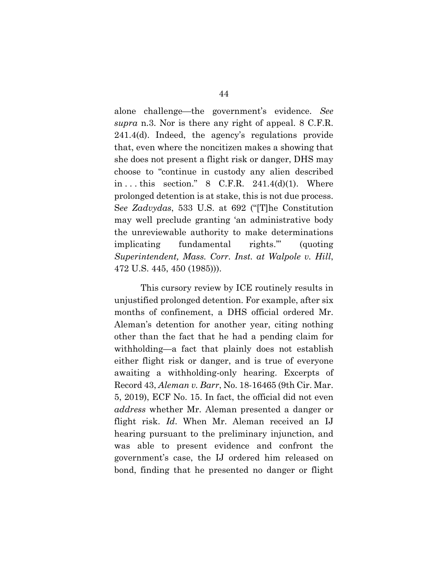alone challenge—the government's evidence. *See supra* n.3. Nor is there any right of appeal. 8 C.F.R. 241.4(d). Indeed, the agency's regulations provide that, even where the noncitizen makes a showing that she does not present a flight risk or danger, DHS may choose to "continue in custody any alien described in  $\dots$  this section." 8 C.F.R. 241.4(d)(1). Where prolonged detention is at stake, this is not due process. S*ee Zadvydas*, 533 U.S. at 692 ("[T]he Constitution may well preclude granting 'an administrative body the unreviewable authority to make determinations implicating fundamental rights.'" (quoting *Superintendent, Mass. Corr. Inst. at Walpole v. Hill*, 472 U.S. 445, 450 (1985))).

This cursory review by ICE routinely results in unjustified prolonged detention. For example, after six months of confinement, a DHS official ordered Mr. Aleman's detention for another year, citing nothing other than the fact that he had a pending claim for withholding—a fact that plainly does not establish either flight risk or danger, and is true of everyone awaiting a withholding-only hearing. Excerpts of Record 43, *Aleman v. Barr*, No. 18-16465 (9th Cir. Mar. 5, 2019), ECF No. 15. In fact, the official did not even *address* whether Mr. Aleman presented a danger or flight risk. *Id*. When Mr. Aleman received an IJ hearing pursuant to the preliminary injunction, and was able to present evidence and confront the government's case, the IJ ordered him released on bond, finding that he presented no danger or flight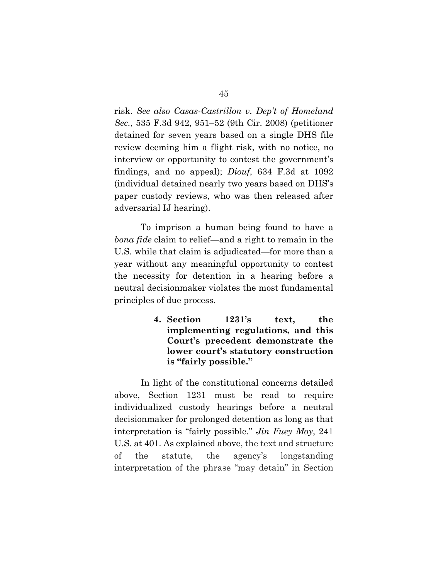risk. *See also Casas-Castrillon v. Dep't of Homeland Sec.*, 535 F.3d 942, 951–52 (9th Cir. 2008) (petitioner detained for seven years based on a single DHS file review deeming him a flight risk, with no notice, no interview or opportunity to contest the government's findings, and no appeal); *Diouf*, 634 F.3d at 1092 (individual detained nearly two years based on DHS's paper custody reviews, who was then released after adversarial IJ hearing).

To imprison a human being found to have a *bona fide* claim to relief—and a right to remain in the U.S. while that claim is adjudicated—for more than a year without any meaningful opportunity to contest the necessity for detention in a hearing before a neutral decisionmaker violates the most fundamental principles of due process.

> **4. Section 1231's text, the implementing regulations, and this Court's precedent demonstrate the lower court's statutory construction is "fairly possible."**

In light of the constitutional concerns detailed above, Section 1231 must be read to require individualized custody hearings before a neutral decisionmaker for prolonged detention as long as that interpretation is "fairly possible." *Jin Fuey Moy*, 241 U.S. at 401. As explained above, the text and structure of the statute, the agency's longstanding interpretation of the phrase "may detain" in Section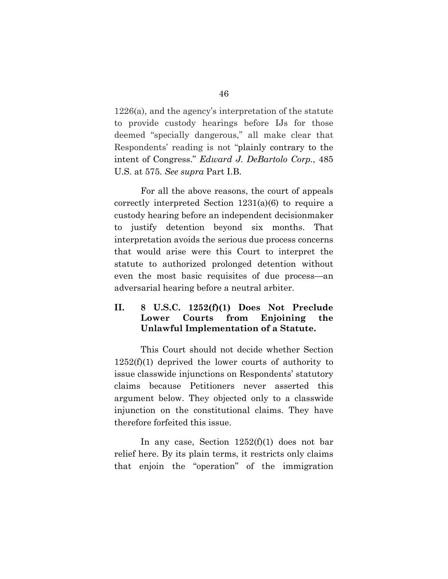1226(a), and the agency's interpretation of the statute to provide custody hearings before IJs for those deemed "specially dangerous," all make clear that Respondents' reading is not "plainly contrary to the intent of Congress." *Edward J. DeBartolo Corp.*, 485 U.S. at 575. *See supra* Part I.B.

For all the above reasons, the court of appeals correctly interpreted Section 1231(a)(6) to require a custody hearing before an independent decisionmaker to justify detention beyond six months. That interpretation avoids the serious due process concerns that would arise were this Court to interpret the statute to authorized prolonged detention without even the most basic requisites of due process—an adversarial hearing before a neutral arbiter.

# **II. 8 U.S.C. 1252(f)(1) Does Not Preclude Lower Courts from Enjoining the Unlawful Implementation of a Statute.**

This Court should not decide whether Section  $1252(f)(1)$  deprived the lower courts of authority to issue classwide injunctions on Respondents' statutory claims because Petitioners never asserted this argument below. They objected only to a classwide injunction on the constitutional claims. They have therefore forfeited this issue.

In any case, Section 1252(f)(1) does not bar relief here. By its plain terms, it restricts only claims that enjoin the "operation" of the immigration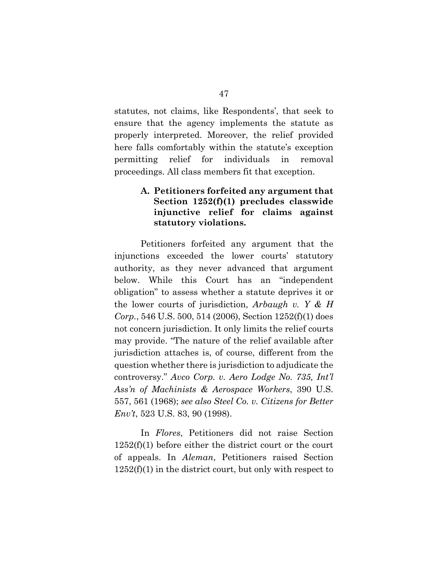statutes, not claims, like Respondents', that seek to ensure that the agency implements the statute as properly interpreted. Moreover, the relief provided here falls comfortably within the statute's exception permitting relief for individuals in removal proceedings. All class members fit that exception.

### **A. Petitioners forfeited any argument that Section 1252(f)(1) precludes classwide injunctive relief for claims against statutory violations.**

Petitioners forfeited any argument that the injunctions exceeded the lower courts' statutory authority, as they never advanced that argument below. While this Court has an "independent obligation" to assess whether a statute deprives it or the lower courts of jurisdiction, *Arbaugh v. Y & H Corp.*, 546 U.S. 500, 514 (2006), Section 1252(f)(1) does not concern jurisdiction. It only limits the relief courts may provide. "The nature of the relief available after jurisdiction attaches is, of course, different from the question whether there is jurisdiction to adjudicate the controversy." *Avco Corp. v. Aero Lodge No. 735, Int'l Ass'n of Machinists & Aerospace Workers*, 390 U.S. 557, 561 (1968); *see also Steel Co. v. Citizens for Better Env't*, 523 U.S. 83, 90 (1998).

In *Flores*, Petitioners did not raise Section 1252(f)(1) before either the district court or the court of appeals. In *Aleman*, Petitioners raised Section  $1252(f)(1)$  in the district court, but only with respect to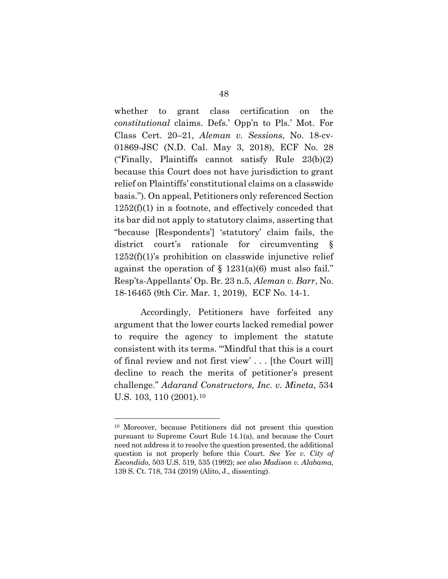whether to grant class certification on the *constitutional* claims. Defs.' Opp'n to Pls.' Mot. For Class Cert. 20–21, *Aleman v. Sessions*, No. 18-cv-01869-JSC (N.D. Cal. May 3, 2018), ECF No. 28 ("Finally, Plaintiffs cannot satisfy Rule 23(b)(2) because this Court does not have jurisdiction to grant relief on Plaintiffs' constitutional claims on a classwide basis."). On appeal, Petitioners only referenced Section  $1252(f)(1)$  in a footnote, and effectively conceded that its bar did not apply to statutory claims, asserting that "because [Respondents'] 'statutory' claim fails, the district court's rationale for circumventing §  $1252(f)(1)$ 's prohibition on classwide injunctive relief against the operation of  $\S$  1231(a)(6) must also fail." Resp'ts-Appellants' Op. Br. 23 n.5, *Aleman v. Barr*, No. 18-16465 (9th Cir. Mar. 1, 2019), ECF No. 14-1.

Accordingly, Petitioners have forfeited any argument that the lower courts lacked remedial power to require the agency to implement the statute consistent with its terms. "'Mindful that this is a court of final review and not first view' . . . [the Court will] decline to reach the merits of petitioner's present challenge." *Adarand Constructors, Inc. v. Mineta*, 534 U.S. [10](#page-62-0)3, 110 (2001).<sup>10</sup>

<span id="page-62-0"></span><sup>10</sup> Moreover, because Petitioners did not present this question pursuant to Supreme Court Rule 14.1(a), and because the Court need not address it to resolve the question presented, the additional question is not properly before this Court. *See Yee v. City of Escondido*, 503 U.S. 519, 535 (1992); *see also Madison v. Alabama*, 139 S. Ct. 718, 734 (2019) (Alito, J., dissenting).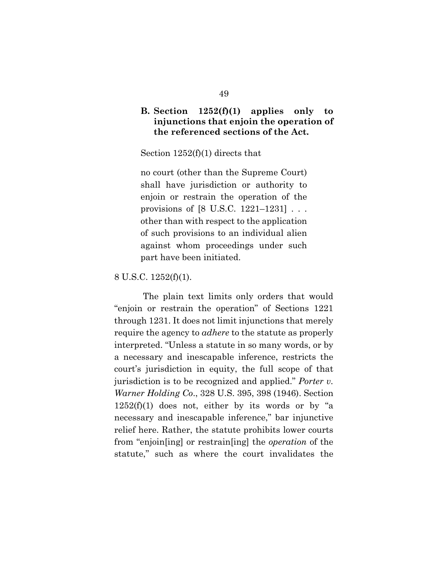### **B. Section 1252(f)(1) applies only to injunctions that enjoin the operation of the referenced sections of the Act.**

Section 1252(f)(1) directs that

no court (other than the Supreme Court) shall have jurisdiction or authority to enjoin or restrain the operation of the provisions of [8 U.S.C. 1221–1231] . . . other than with respect to the application of such provisions to an individual alien against whom proceedings under such part have been initiated.

8 U.S.C. 1252(f)(1).

The plain text limits only orders that would "enjoin or restrain the operation" of Sections 1221 through 1231. It does not limit injunctions that merely require the agency to *adhere* to the statute as properly interpreted. "Unless a statute in so many words, or by a necessary and inescapable inference, restricts the court's jurisdiction in equity, the full scope of that jurisdiction is to be recognized and applied." *Porter v. Warner Holding Co*., 328 U.S. 395, 398 (1946). Section  $1252(f)(1)$  does not, either by its words or by "a necessary and inescapable inference," bar injunctive relief here. Rather, the statute prohibits lower courts from "enjoin[ing] or restrain[ing] the *operation* of the statute," such as where the court invalidates the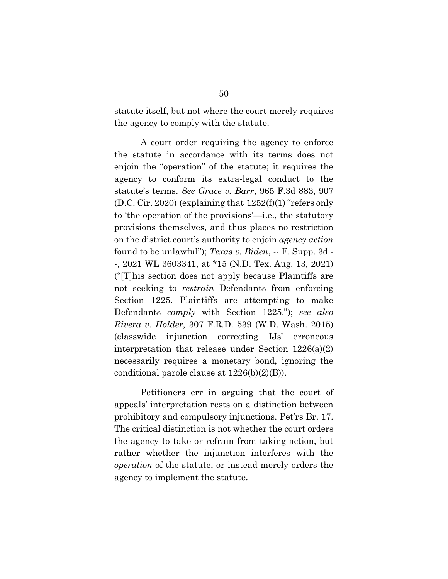statute itself, but not where the court merely requires the agency to comply with the statute.

A court order requiring the agency to enforce the statute in accordance with its terms does not enjoin the "operation" of the statute; it requires the agency to conform its extra-legal conduct to the statute's terms. *See Grace v. Barr*, 965 F.3d 883, 907 (D.C. Cir. 2020) (explaining that  $1252(f)(1)$  "refers only to 'the operation of the provisions'—i.e., the statutory provisions themselves, and thus places no restriction on the district court's authority to enjoin *agency action* found to be unlawful"); *Texas v. Biden*, -- F. Supp. 3d - -, 2021 WL 3603341, at \*15 (N.D. Tex. Aug. 13, 2021) ("[T]his section does not apply because Plaintiffs are not seeking to *restrain* Defendants from enforcing Section 1225. Plaintiffs are attempting to make Defendants *comply* with Section 1225."); *see also Rivera v. Holder*, 307 F.R.D. 539 (W.D. Wash. 2015) (classwide injunction correcting IJs' erroneous interpretation that release under Section 1226(a)(2) necessarily requires a monetary bond, ignoring the conditional parole clause at 1226(b)(2)(B)).

Petitioners err in arguing that the court of appeals' interpretation rests on a distinction between prohibitory and compulsory injunctions. Pet'rs Br. 17. The critical distinction is not whether the court orders the agency to take or refrain from taking action, but rather whether the injunction interferes with the *operation* of the statute, or instead merely orders the agency to implement the statute.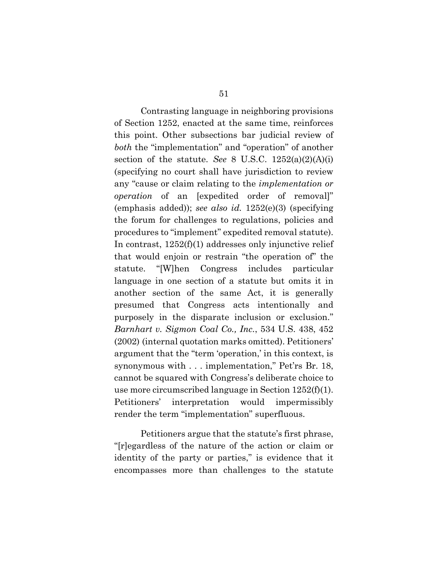Contrasting language in neighboring provisions of Section 1252, enacted at the same time, reinforces this point. Other subsections bar judicial review of *both* the "implementation" and "operation" of another section of the statute. *See* 8 U.S.C.  $1252(a)(2)(A)(i)$ (specifying no court shall have jurisdiction to review any "cause or claim relating to the *implementation or operation* of an [expedited order of removal]" (emphasis added)); *see also id.* 1252(e)(3) (specifying the forum for challenges to regulations, policies and procedures to "implement" expedited removal statute). In contrast, 1252(f)(1) addresses only injunctive relief that would enjoin or restrain "the operation of" the statute. "[W]hen Congress includes particular language in one section of a statute but omits it in another section of the same Act, it is generally presumed that Congress acts intentionally and purposely in the disparate inclusion or exclusion." *Barnhart v. Sigmon Coal Co., Inc.*, 534 U.S. 438, 452 (2002) (internal quotation marks omitted). Petitioners' argument that the "term 'operation,' in this context, is synonymous with . . . implementation," Pet'rs Br. 18, cannot be squared with Congress's deliberate choice to use more circumscribed language in Section 1252(f)(1). Petitioners' interpretation would impermissibly render the term "implementation" superfluous.

Petitioners argue that the statute's first phrase, "[r]egardless of the nature of the action or claim or identity of the party or parties," is evidence that it encompasses more than challenges to the statute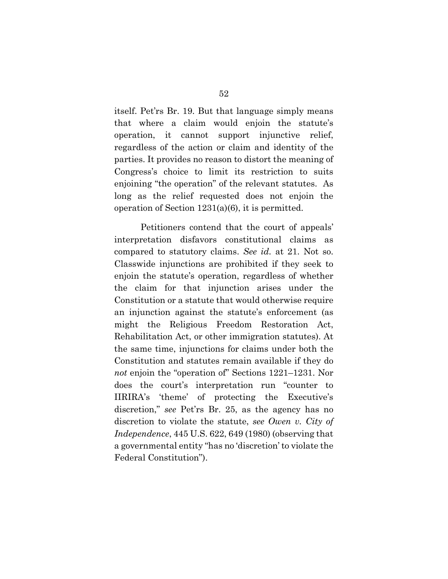itself. Pet'rs Br. 19. But that language simply means that where a claim would enjoin the statute's operation, it cannot support injunctive relief, regardless of the action or claim and identity of the parties. It provides no reason to distort the meaning of Congress's choice to limit its restriction to suits enjoining "the operation" of the relevant statutes. As long as the relief requested does not enjoin the operation of Section 1231(a)(6), it is permitted.

Petitioners contend that the court of appeals' interpretation disfavors constitutional claims as compared to statutory claims. *See id.* at 21. Not so. Classwide injunctions are prohibited if they seek to enjoin the statute's operation, regardless of whether the claim for that injunction arises under the Constitution or a statute that would otherwise require an injunction against the statute's enforcement (as might the Religious Freedom Restoration Act, Rehabilitation Act, or other immigration statutes). At the same time, injunctions for claims under both the Constitution and statutes remain available if they do *not* enjoin the "operation of" Sections 1221–1231. Nor does the court's interpretation run "counter to IIRIRA's 'theme' of protecting the Executive's discretion," *see* Pet'rs Br. 25, as the agency has no discretion to violate the statute, *see Owen v. City of Independence*, 445 U.S. 622, 649 (1980) (observing that a governmental entity "has no 'discretion' to violate the Federal Constitution").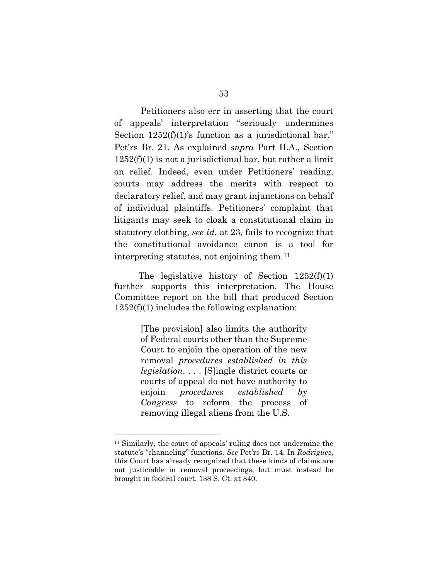Petitioners also err in asserting that the court of appeals' interpretation "seriously undermines Section  $1252(f)(1)$ 's function as a jurisdictional bar." Pet'rs Br. 21. As explained *supra* Part II.A., Section  $1252(f)(1)$  is not a jurisdictional bar, but rather a limit on relief. Indeed, even under Petitioners' reading, courts may address the merits with respect to declaratory relief, and may grant injunctions on behalf of individual plaintiffs. Petitioners' complaint that litigants may seek to cloak a constitutional claim in statutory clothing, *see id.* at 23, fails to recognize that the constitutional avoidance canon is a tool for interpreting statutes, not enjoining them.[11](#page-67-0) 

The legislative history of Section 1252(f)(1) further supports this interpretation. The House Committee report on the bill that produced Section 1252(f)(1) includes the following explanation:

> [The provision] also limits the authority of Federal courts other than the Supreme Court to enjoin the operation of the new removal *procedures established in this legislation*. . . . [S]ingle district courts or courts of appeal do not have authority to enjoin *procedures established by Congress* to reform the process of removing illegal aliens from the U.S.

<span id="page-67-0"></span><sup>11</sup> Similarly, the court of appeals' ruling does not undermine the statute's "channeling" functions. *See* Pet'rs Br. 14. In *Rodriguez*, this Court has already recognized that these kinds of claims are not justiciable in removal proceedings, but must instead be brought in federal court. 138 S. Ct. at 840.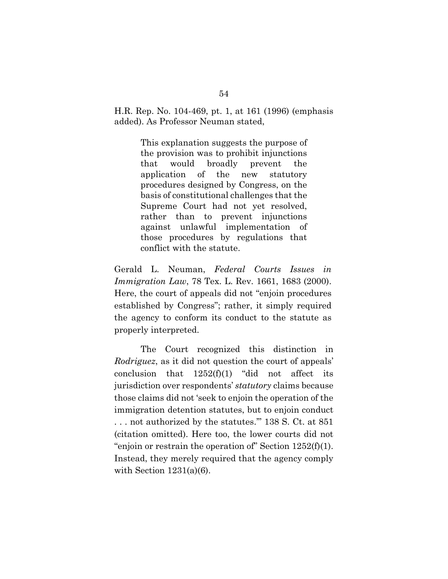H.R. Rep. No. 104-469, pt. 1, at 161 (1996) (emphasis added). As Professor Neuman stated,

> This explanation suggests the purpose of the provision was to prohibit injunctions that would broadly prevent the application of the new statutory procedures designed by Congress, on the basis of constitutional challenges that the Supreme Court had not yet resolved, rather than to prevent injunctions against unlawful implementation of those procedures by regulations that conflict with the statute.

Gerald L. Neuman, *Federal Courts Issues in Immigration Law*, 78 Tex. L. Rev. 1661, 1683 (2000). Here, the court of appeals did not "enjoin procedures established by Congress"; rather, it simply required the agency to conform its conduct to the statute as properly interpreted.

The Court recognized this distinction in *Rodriguez*, as it did not question the court of appeals' conclusion that  $1252(f)(1)$  "did not affect its jurisdiction over respondents' *statutory* claims because those claims did not 'seek to enjoin the operation of the immigration detention statutes, but to enjoin conduct . . . not authorized by the statutes.'" 138 S. Ct. at 851 (citation omitted). Here too, the lower courts did not "enjoin or restrain the operation of" Section  $1252(f)(1)$ . Instead, they merely required that the agency comply with Section  $1231(a)(6)$ .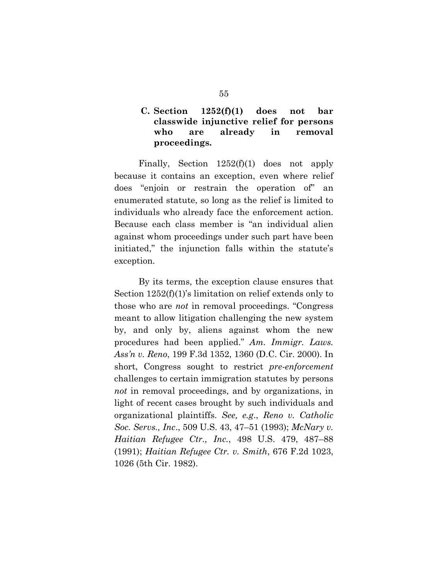# **C. Section 1252(f)(1) does not bar classwide injunctive relief for persons who are already in removal proceedings.**

Finally, Section 1252(f)(1) does not apply because it contains an exception, even where relief does "enjoin or restrain the operation of" an enumerated statute, so long as the relief is limited to individuals who already face the enforcement action. Because each class member is "an individual alien against whom proceedings under such part have been initiated," the injunction falls within the statute's exception.

By its terms, the exception clause ensures that Section 1252(f)(1)'s limitation on relief extends only to those who are *not* in removal proceedings. "Congress meant to allow litigation challenging the new system by, and only by, aliens against whom the new procedures had been applied." *Am. Immigr. Laws. Ass'n v. Reno*, 199 F.3d 1352, 1360 (D.C. Cir. 2000). In short, Congress sought to restrict *pre-enforcement* challenges to certain immigration statutes by persons *not* in removal proceedings, and by organizations, in light of recent cases brought by such individuals and organizational plaintiffs. *See, e.g*., *Reno v. Catholic Soc. Servs., Inc*., 509 U.S. 43, 47–51 (1993); *McNary v. Haitian Refugee Ctr., Inc.*, 498 U.S. 479, 487–88 (1991); *Haitian Refugee Ctr. v. Smith*, 676 F.2d 1023, 1026 (5th Cir. 1982).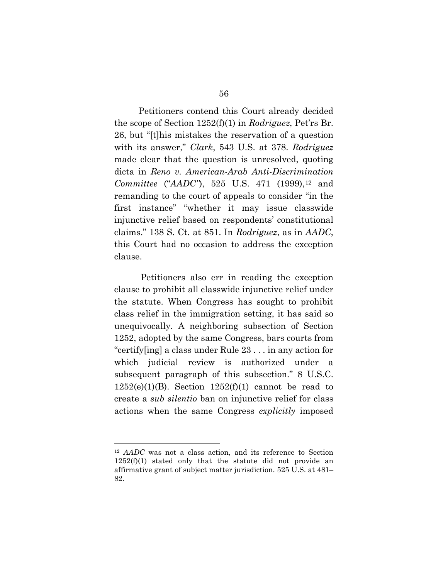Petitioners contend this Court already decided the scope of Section 1252(f)(1) in *Rodriguez*, Pet'rs Br. 26, but "[t]his mistakes the reservation of a question with its answer," *Clark*, 543 U.S. at 378. *Rodriguez* made clear that the question is unresolved, quoting dicta in *Reno v. American-Arab Anti-Discrimination Committee* ("*AADC*"), 525 U.S. 471 (1999),<sup>[12](#page-70-0)</sup> and remanding to the court of appeals to consider "in the first instance" "whether it may issue classwide injunctive relief based on respondents' constitutional claims." 138 S. Ct. at 851. In *Rodriguez*, as in *AADC*, this Court had no occasion to address the exception clause.

Petitioners also err in reading the exception clause to prohibit all classwide injunctive relief under the statute. When Congress has sought to prohibit class relief in the immigration setting, it has said so unequivocally. A neighboring subsection of Section 1252, adopted by the same Congress, bars courts from "certify[ing] a class under Rule 23 . . . in any action for which judicial review is authorized under a subsequent paragraph of this subsection." 8 U.S.C.  $1252(e)(1)(B)$ . Section  $1252(f)(1)$  cannot be read to create a *sub silentio* ban on injunctive relief for class actions when the same Congress *explicitly* imposed

<span id="page-70-0"></span><sup>12</sup> *AADC* was not a class action, and its reference to Section 1252(f)(1) stated only that the statute did not provide an affirmative grant of subject matter jurisdiction. 525 U.S. at 481– 82.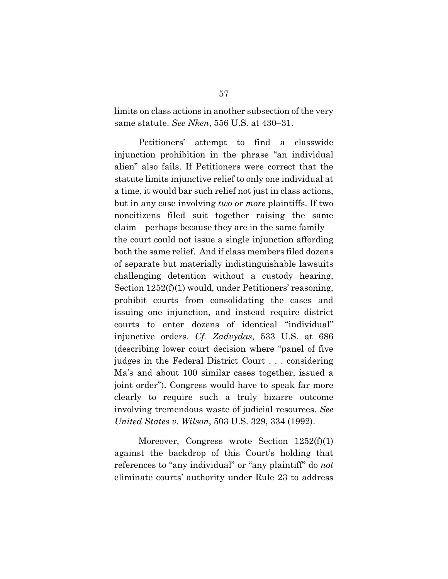limits on class actions in another subsection of the very same statute. *See Nken*, 556 U.S. at 430–31.

Petitioners' attempt to find a classwide injunction prohibition in the phrase "an individual alien" also fails. If Petitioners were correct that the statute limits injunctive relief to only one individual at a time, it would bar such relief not just in class actions, but in any case involving *two or more* plaintiffs. If two noncitizens filed suit together raising the same claim—perhaps because they are in the same family the court could not issue a single injunction affording both the same relief. And if class members filed dozens of separate but materially indistinguishable lawsuits challenging detention without a custody hearing, Section  $1252(f)(1)$  would, under Petitioners' reasoning, prohibit courts from consolidating the cases and issuing one injunction, and instead require district courts to enter dozens of identical "individual" injunctive orders. *Cf. Zadvydas*, 533 U.S. at 686 (describing lower court decision where "panel of five judges in the Federal District Court . . . considering Ma's and about 100 similar cases together, issued a joint order"). Congress would have to speak far more clearly to require such a truly bizarre outcome involving tremendous waste of judicial resources. *See United States v. Wilson*, 503 U.S. 329, 334 (1992).

Moreover, Congress wrote Section 1252(f)(1) against the backdrop of this Court's holding that references to "any individual" or "any plaintiff" do *not* eliminate courts' authority under Rule 23 to address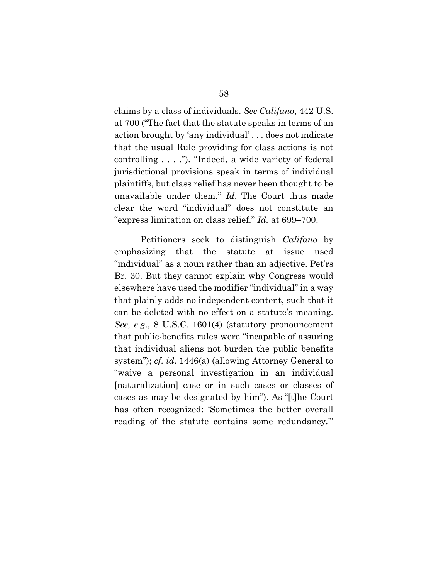claims by a class of individuals. *See Califano*, 442 U.S. at 700 ("The fact that the statute speaks in terms of an action brought by 'any individual' . . . does not indicate that the usual Rule providing for class actions is not controlling . . . ."). "Indeed, a wide variety of federal jurisdictional provisions speak in terms of individual plaintiffs, but class relief has never been thought to be unavailable under them." *Id*. The Court thus made clear the word "individual" does not constitute an "express limitation on class relief." *Id.* at 699–700.

Petitioners seek to distinguish *Califano* by emphasizing that the statute at issue used "individual" as a noun rather than an adjective. Pet'rs Br. 30. But they cannot explain why Congress would elsewhere have used the modifier "individual" in a way that plainly adds no independent content, such that it can be deleted with no effect on a statute's meaning. *See, e.g*., 8 U.S.C. 1601(4) (statutory pronouncement that public-benefits rules were "incapable of assuring that individual aliens not burden the public benefits system"); *cf*. *id*. 1446(a) (allowing Attorney General to "waive a personal investigation in an individual [naturalization] case or in such cases or classes of cases as may be designated by him"). As "[t]he Court has often recognized: 'Sometimes the better overall reading of the statute contains some redundancy.'"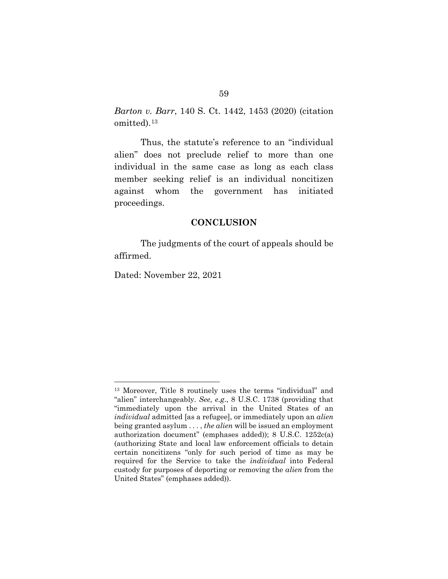*Barton v. Barr*, 140 S. Ct. 1442, 1453 (2020) (citation omitted).[13](#page-73-0) 

Thus, the statute's reference to an "individual alien" does not preclude relief to more than one individual in the same case as long as each class member seeking relief is an individual noncitizen against whom the government has initiated proceedings.

## **CONCLUSION**

The judgments of the court of appeals should be affirmed.

Dated: November 22, 2021

<span id="page-73-0"></span><sup>13</sup> Moreover, Title 8 routinely uses the terms "individual" and "alien" interchangeably. *See, e.g*., 8 U.S.C. 1738 (providing that "immediately upon the arrival in the United States of an *individual* admitted [as a refugee], or immediately upon an *alien* being granted asylum . . . , *the alien* will be issued an employment authorization document" (emphases added)); 8 U.S.C. 1252c(a) (authorizing State and local law enforcement officials to detain certain noncitizens "only for such period of time as may be required for the Service to take the *individual* into Federal custody for purposes of deporting or removing the *alien* from the United States" (emphases added)).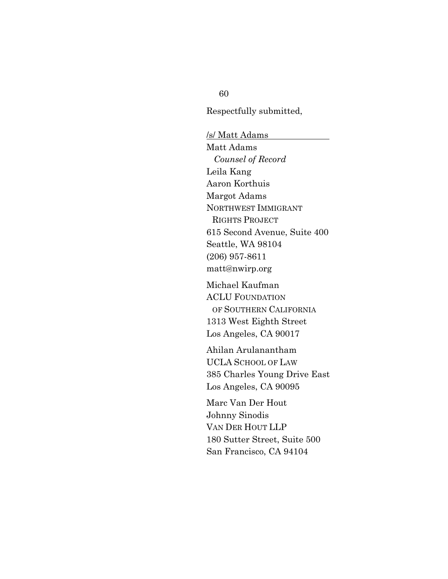## 60

Respectfully submitted,

/s/ Matt Adams Matt Adams *Counsel of Record* Leila Kang Aaron Korthuis Margot Adams NORTHWEST IMMIGRANT RIGHTS PROJECT 615 Second Avenue, Suite 400 Seattle, WA 98104 (206) 957-8611 matt@nwirp.org

Michael Kaufman ACLU FOUNDATION OF SOUTHERN CALIFORNIA 1313 West Eighth Street Los Angeles, CA 90017

Ahilan Arulanantham UCLA SCHOOL OF LAW 385 Charles Young Drive East Los Angeles, CA 90095

Marc Van Der Hout Johnny Sinodis VAN DER HOUT LLP 180 Sutter Street, Suite 500 San Francisco, CA 94104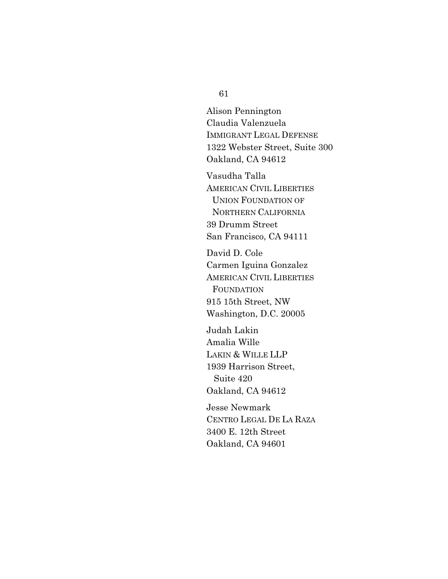61

Alison Pennington Claudia Valenzuela IMMIGRANT LEGAL DEFENSE 1322 Webster Street, Suite 300 Oakland, CA 94612

Vasudha Talla AMERICAN CIVIL LIBERTIES UNION FOUNDATION OF NORTHERN CALIFORNIA 39 Drumm Street San Francisco, CA 94111

David D. Cole Carmen Iguina Gonzalez AMERICAN CIVIL LIBERTIES FOUNDATION 915 15th Street, NW Washington, D.C. 20005

Judah Lakin Amalia Wille LAKIN & WILLE LLP 1939 Harrison Street, Suite 420 Oakland, CA 94612

Jesse Newmark CENTRO LEGAL DE LA RAZA 3400 E. 12th Street Oakland, CA 94601